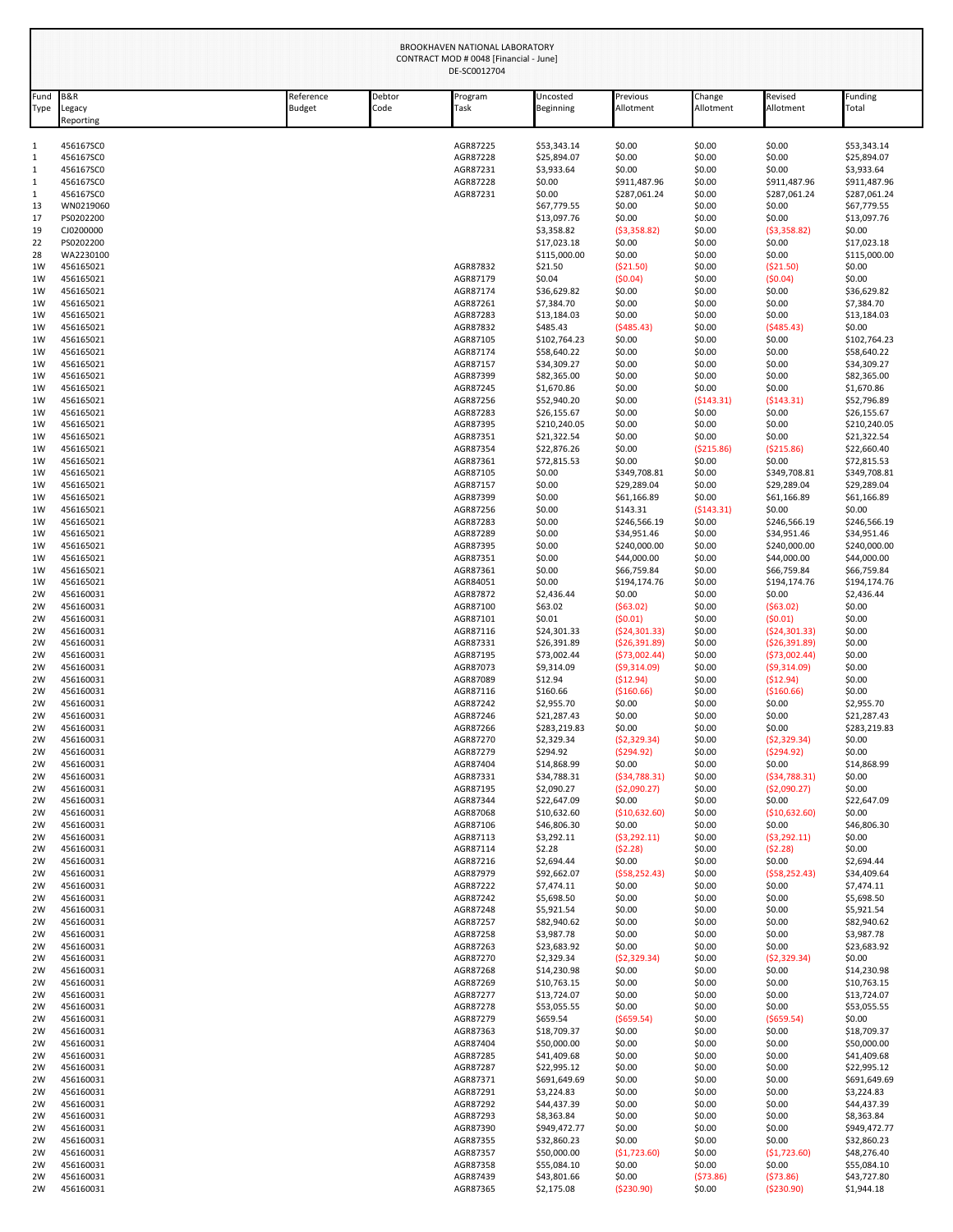|              | BROOKHAVEN NATIONAL LABORATORY<br>CONTRACT MOD # 0048 [Financial - June]<br>DE-SC0012704 |                            |                |                      |                             |                                 |                     |                                |                             |
|--------------|------------------------------------------------------------------------------------------|----------------------------|----------------|----------------------|-----------------------------|---------------------------------|---------------------|--------------------------------|-----------------------------|
| Fund<br>Type | B&R<br>egacy<br>Reporting                                                                | Reference<br><b>Budget</b> | Debtor<br>Code | Program<br>Task      | Uncosted<br>Beginning       | Previous<br>Allotment           | Change<br>Allotment | Revised<br>Allotment           | Funding<br>Total            |
| 1            | 456167SC0                                                                                |                            |                | AGR87225             | \$53,343.14                 | \$0.00                          | \$0.00              | \$0.00                         | \$53,343.14                 |
| 1            | 456167SC0                                                                                |                            |                | AGR87228             | \$25,894.07                 | \$0.00                          | \$0.00              | \$0.00                         | \$25,894.07                 |
| 1            | 456167SC0                                                                                |                            |                | AGR87231             | \$3,933.64                  | \$0.00                          | \$0.00              | \$0.00                         | \$3,933.64                  |
| $\mathbf{1}$ | 456167SC0                                                                                |                            |                | AGR87228             | \$0.00                      | \$911,487.96                    | \$0.00              | \$911,487.96                   | \$911,487.96                |
| 1<br>13      | 456167SC0<br>WN0219060                                                                   |                            |                | AGR87231             | \$0.00<br>\$67,779.55       | \$287,061.24<br>\$0.00          | \$0.00<br>\$0.00    | \$287,061.24<br>\$0.00         | \$287,061.24<br>\$67,779.55 |
| 17           | PS0202200                                                                                |                            |                |                      | \$13,097.76                 | \$0.00                          | \$0.00              | \$0.00                         | \$13,097.76                 |
| 19           | CJ0200000                                                                                |                            |                |                      | \$3,358.82                  | (53,358.82)                     | \$0.00              | (53,358.82)                    | \$0.00                      |
| 22           | PS0202200                                                                                |                            |                |                      | \$17,023.18                 | \$0.00                          | \$0.00              | \$0.00                         | \$17,023.18                 |
| 28           | WA2230100                                                                                |                            |                |                      | \$115,000.00                | \$0.00                          | \$0.00              | \$0.00                         | \$115,000.00                |
| 1W<br>1W     | 456165021<br>456165021                                                                   |                            |                | AGR87832<br>AGR87179 | \$21.50<br>\$0.04           | (\$21.50)<br>(50.04)            | \$0.00<br>\$0.00    | ( \$21.50)<br>(50.04)          | \$0.00<br>\$0.00            |
| 1W           | 456165021                                                                                |                            |                | AGR87174             | \$36,629.82                 | \$0.00                          | \$0.00              | \$0.00                         | \$36,629.82                 |
| 1W           | 456165021                                                                                |                            |                | AGR87261             | \$7,384.70                  | \$0.00                          | \$0.00              | \$0.00                         | \$7,384.70                  |
| 1W           | 456165021                                                                                |                            |                | AGR87283             | \$13,184.03                 | \$0.00                          | \$0.00              | \$0.00                         | \$13,184.03                 |
| 1W           | 456165021                                                                                |                            |                | AGR87832             | \$485.43                    | (5485.43)                       | \$0.00              | (5485.43)                      | \$0.00                      |
| 1W<br>1W     | 456165021<br>456165021                                                                   |                            |                | AGR87105<br>AGR87174 | \$102,764.23<br>\$58,640.22 | \$0.00<br>\$0.00                | \$0.00<br>\$0.00    | \$0.00<br>\$0.00               | \$102,764.23<br>\$58,640.22 |
| 1W           | 456165021                                                                                |                            |                | AGR87157             | \$34,309.27                 | \$0.00                          | \$0.00              | \$0.00                         | \$34,309.27                 |
| 1W           | 456165021                                                                                |                            |                | AGR87399             | \$82,365.00                 | \$0.00                          | \$0.00              | \$0.00                         | \$82,365.00                 |
| 1W           | 456165021                                                                                |                            |                | AGR87245             | \$1,670.86                  | \$0.00                          | \$0.00              | \$0.00                         | \$1,670.86                  |
| 1W<br>1W     | 456165021<br>456165021                                                                   |                            |                | AGR87256<br>AGR87283 | \$52,940.20<br>\$26,155.67  | \$0.00<br>\$0.00                | (5143.31)<br>\$0.00 | (5143.31)<br>\$0.00            | \$52,796.89<br>\$26,155.67  |
| 1W           | 456165021                                                                                |                            |                | AGR87395             | \$210,240.05                | \$0.00                          | \$0.00              | \$0.00                         | \$210,240.05                |
| 1W           | 456165021                                                                                |                            |                | AGR87351             | \$21,322.54                 | \$0.00                          | \$0.00              | \$0.00                         | \$21,322.54                 |
| 1W           | 456165021                                                                                |                            |                | AGR87354             | \$22,876.26                 | \$0.00                          | (5215.86)           | ( \$215.86)                    | \$22,660.40                 |
| 1W<br>1W     | 456165021                                                                                |                            |                | AGR87361<br>AGR87105 | \$72.815.53                 | \$0.00                          | \$0.00              | \$0.00                         | \$72,815.53                 |
| 1W           | 456165021<br>456165021                                                                   |                            |                | AGR87157             | \$0.00<br>\$0.00            | \$349,708.81<br>\$29,289.04     | \$0.00<br>\$0.00    | \$349,708.81<br>\$29,289.04    | \$349,708.81<br>\$29,289.04 |
| 1W           | 456165021                                                                                |                            |                | AGR87399             | \$0.00                      | \$61,166.89                     | \$0.00              | \$61,166.89                    | \$61,166.89                 |
| 1W           | 456165021                                                                                |                            |                | AGR87256             | \$0.00                      | \$143.31                        | (5143.31)           | \$0.00                         | \$0.00                      |
| 1W<br>1W     | 456165021<br>456165021                                                                   |                            |                | AGR87283<br>AGR87289 | \$0.00<br>\$0.00            | \$246,566.19<br>\$34,951.46     | \$0.00<br>\$0.00    | \$246,566.19<br>\$34,951.46    | \$246,566.19<br>\$34,951.46 |
| 1W           | 456165021                                                                                |                            |                | AGR87395             | \$0.00                      | \$240,000.00                    | \$0.00              | \$240,000.00                   | \$240,000.00                |
| 1W           | 456165021                                                                                |                            |                | AGR87351             | \$0.00                      | \$44,000.00                     | \$0.00              | \$44,000.00                    | \$44,000.00                 |
| 1W           | 456165021                                                                                |                            |                | AGR87361             | \$0.00                      | \$66,759.84                     | \$0.00              | \$66,759.84                    | \$66,759.84                 |
| 1W<br>2W     | 456165021<br>456160031                                                                   |                            |                | AGR84051<br>AGR87872 | \$0.00<br>\$2,436.44        | \$194,174.76<br>\$0.00          | \$0.00<br>\$0.00    | \$194,174.76<br>\$0.00         | \$194,174.76<br>\$2,436.44  |
| 2W           | 456160031                                                                                |                            |                | AGR87100             | \$63.02                     | (563.02)                        | \$0.00              | (563.02)                       | \$0.00                      |
| 2W           | 456160031                                                                                |                            |                | AGR87101             | \$0.01                      | (50.01)                         | \$0.00              | (50.01)                        | \$0.00                      |
| 2W           | 456160031                                                                                |                            |                | AGR87116             | \$24,301.33                 | (524, 301.33)                   | \$0.00              | (524, 301.33)<br>(526, 391.89) | \$0.00                      |
| 2W<br>2W     | 456160031<br>456160031                                                                   |                            |                | AGR87331<br>AGR87195 | \$26,391.89<br>\$73,002.44  | ( \$26, 391.89)<br>(573,002.44) | \$0.00<br>\$0.00    | (573,002.44)                   | \$0.00<br>\$0.00            |
| 2W           | 456160031                                                                                |                            |                | AGR87073             | \$9,314.09                  | (59,314.09)                     | \$0.00              | (59,314.09)                    | \$0.00                      |
| 2W           | 456160031                                                                                |                            |                | AGR87089             | \$12.94                     | (512.94)                        | \$0.00              | (512.94)                       | \$0.00                      |
| 2W<br>2W     | 456160031<br>456160031                                                                   |                            |                | AGR87116<br>AGR87242 | \$160.66<br>\$2,955.70      | ( \$160.66)<br>\$0.00           | \$0.00<br>\$0.00    | ( \$160.66)<br>\$0.00          | \$0.00<br>\$2,955.70        |
| 2W           | 456160031                                                                                |                            |                | AGR87246             | \$21,287.43                 | \$0.00                          | \$0.00              | \$0.00                         | \$21,287.43                 |
| 2W           | 456160031                                                                                |                            |                | AGR87266             | \$283,219.83                | \$0.00                          | \$0.00              | \$0.00                         | \$283,219.83                |
| 2W           | 456160031                                                                                |                            |                | AGR87270             | \$2,329.34                  | (52, 329.34)                    | \$0.00              | (52, 329.34)                   | \$0.00                      |
| 2W<br>2W     | 456160031<br>456160031                                                                   |                            |                | AGR87279<br>AGR87404 | \$294.92<br>\$14,868.99     | (5294.92)<br>\$0.00             | \$0.00<br>\$0.00    | (5294.92)<br>\$0.00            | \$0.00<br>\$14,868.99       |
| 2W           | 456160031                                                                                |                            |                | AGR87331             | \$34,788.31                 | ( \$34,788.31)                  | \$0.00              | ( \$34,788.31)                 | \$0.00                      |
| 2W           | 456160031                                                                                |                            |                | AGR87195             | \$2,090.27                  | ( \$2,090.27)                   | \$0.00              | (52,090.27)                    | \$0.00                      |
| 2W           | 456160031                                                                                |                            |                | AGR87344             | \$22,647.09                 | \$0.00                          | \$0.00              | \$0.00                         | \$22,647.09                 |
| 2W<br>2W     | 456160031<br>456160031                                                                   |                            |                | AGR87068<br>AGR87106 | \$10,632.60<br>\$46,806.30  | (\$10,632.60)<br>\$0.00         | \$0.00<br>\$0.00    | (\$10,632.60)<br>\$0.00        | \$0.00<br>\$46,806.30       |
| 2W           | 456160031                                                                                |                            |                | AGR87113             | \$3,292.11                  | (53, 292.11)                    | \$0.00              | (53, 292.11)                   | \$0.00                      |
| 2W           | 456160031                                                                                |                            |                | AGR87114             | \$2.28                      | (52.28)                         | \$0.00              | (52.28)                        | \$0.00                      |
| 2W<br>2W     | 456160031<br>456160031                                                                   |                            |                | AGR87216<br>AGR87979 | \$2,694.44<br>\$92,662.07   | \$0.00<br>(558, 252.43)         | \$0.00<br>\$0.00    | \$0.00<br>( \$58, 252.43)      | \$2,694.44<br>\$34,409.64   |
| 2W           | 456160031                                                                                |                            |                | AGR87222             | \$7,474.11                  | \$0.00                          | \$0.00              | \$0.00                         | \$7,474.11                  |
| 2W           | 456160031                                                                                |                            |                | AGR87242             | \$5,698.50                  | \$0.00                          | \$0.00              | \$0.00                         | \$5,698.50                  |
| 2W           | 456160031                                                                                |                            |                | AGR87248             | \$5,921.54<br>\$82,940.62   | \$0.00                          | \$0.00<br>\$0.00    | \$0.00<br>\$0.00               | \$5,921.54<br>\$82,940.62   |
| 2W<br>2W     | 456160031<br>456160031                                                                   |                            |                | AGR87257<br>AGR87258 | \$3,987.78                  | \$0.00<br>\$0.00                | \$0.00              | \$0.00                         | \$3,987.78                  |
| 2W           | 456160031                                                                                |                            |                | AGR87263             | \$23,683.92                 | \$0.00                          | \$0.00              | \$0.00                         | \$23,683.92                 |
| 2W           | 456160031                                                                                |                            |                | AGR87270             | \$2,329.34                  | (52, 329.34)                    | \$0.00              | ( \$2,329.34)                  | \$0.00                      |
| 2W<br>2W     | 456160031<br>456160031                                                                   |                            |                | AGR87268<br>AGR87269 | \$14,230.98<br>\$10,763.15  | \$0.00<br>\$0.00                | \$0.00<br>\$0.00    | \$0.00<br>\$0.00               | \$14,230.98<br>\$10,763.15  |
| 2W           | 456160031                                                                                |                            |                | AGR87277             | \$13,724.07                 | \$0.00                          | \$0.00              | \$0.00                         | \$13,724.07                 |
| 2W           | 456160031                                                                                |                            |                | AGR87278             | \$53,055.55                 | \$0.00                          | \$0.00              | \$0.00                         | \$53,055.55                 |
| 2W           | 456160031                                                                                |                            |                | AGR87279             | \$659.54                    | ( \$659.54)                     | \$0.00              | ( \$659.54)                    | \$0.00                      |
| 2W<br>2W     | 456160031<br>456160031                                                                   |                            |                | AGR87363<br>AGR87404 | \$18,709.37<br>\$50,000.00  | \$0.00<br>\$0.00                | \$0.00<br>\$0.00    | \$0.00<br>\$0.00               | \$18,709.37<br>\$50,000.00  |
| 2W           | 456160031                                                                                |                            |                | AGR87285             | \$41,409.68                 | \$0.00                          | \$0.00              | \$0.00                         | \$41,409.68                 |
| 2W           | 456160031                                                                                |                            |                | AGR87287             | \$22,995.12                 | \$0.00                          | \$0.00              | \$0.00                         | \$22,995.12                 |
| 2W           | 456160031                                                                                |                            |                | AGR87371<br>AGR87291 | \$691,649.69                | \$0.00                          | \$0.00<br>\$0.00    | \$0.00                         | \$691,649.69                |
| 2W<br>2W     | 456160031<br>456160031                                                                   |                            |                | AGR87292             | \$3,224.83<br>\$44,437.39   | \$0.00<br>\$0.00                | \$0.00              | \$0.00<br>\$0.00               | \$3,224.83<br>\$44,437.39   |
| 2W           | 456160031                                                                                |                            |                | AGR87293             | \$8,363.84                  | \$0.00                          | \$0.00              | \$0.00                         | \$8,363.84                  |
| 2W           | 456160031                                                                                |                            |                | AGR87390             | \$949,472.77                | \$0.00                          | \$0.00              | \$0.00                         | \$949,472.77                |
| 2W           | 456160031                                                                                |                            |                | AGR87355             | \$32,860.23<br>\$50,000.00  | \$0.00<br>(51,723.60)           | \$0.00<br>\$0.00    | \$0.00<br>(51, 723.60)         | \$32,860.23<br>\$48,276.40  |
| 2W<br>2W     | 456160031<br>456160031                                                                   |                            |                | AGR87357<br>AGR87358 | \$55,084.10                 | \$0.00                          | \$0.00              | \$0.00                         | \$55,084.10                 |
| 2W           | 456160031                                                                                |                            |                | AGR87439             | \$43,801.66                 | \$0.00                          | (573.86)            | (573.86)                       | \$43,727.80                 |
| 2W           | 456160031                                                                                |                            |                | AGR87365             | \$2,175.08                  | ( \$230.90)                     | \$0.00              | ( \$230.90)                    | \$1,944.18                  |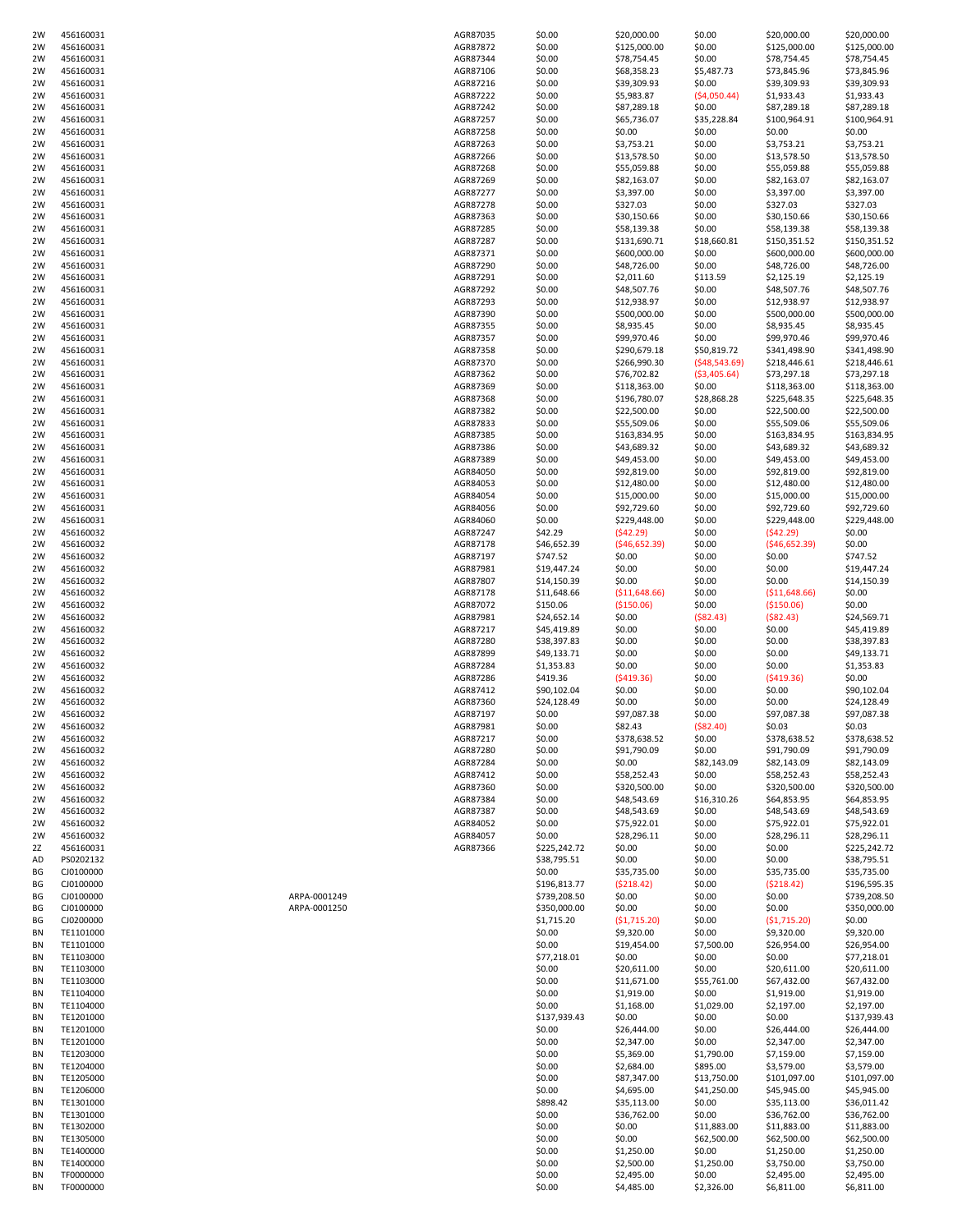| 2W       | 456160031              |              | AGR87872             | \$0.00                     | \$125,000.00               | \$0.00                | \$125,000.00               | \$125,000.00               |
|----------|------------------------|--------------|----------------------|----------------------------|----------------------------|-----------------------|----------------------------|----------------------------|
| 2W       | 456160031              |              | AGR87344             | \$0.00                     | \$78,754.45                | \$0.00                | \$78,754.45                | \$78,754.45                |
| 2W<br>2W | 456160031<br>456160031 |              | AGR87106<br>AGR87216 | \$0.00<br>\$0.00           | \$68,358.23<br>\$39,309.93 | \$5,487.73<br>\$0.00  | \$73,845.96<br>\$39,309.93 | \$73,845.96<br>\$39,309.93 |
| 2W       | 456160031              |              | AGR87222             | \$0.00                     | \$5,983.87                 | (54,050.44)           | \$1,933.43                 | \$1,933.43                 |
| 2W       | 456160031              |              | AGR87242             | \$0.00                     | \$87,289.18                | \$0.00                | \$87,289.18                | \$87,289.18                |
| 2W       | 456160031              |              | AGR87257             | \$0.00                     | \$65,736.07                | \$35,228.84           | \$100,964.91               | \$100,964.91               |
| 2W       | 456160031              |              | AGR87258             | \$0.00                     | \$0.00                     | \$0.00                | \$0.00                     | \$0.00                     |
| 2W       | 456160031              |              | AGR87263             | \$0.00                     | \$3,753.21                 | \$0.00                | \$3,753.21                 | \$3,753.21                 |
| 2W       | 456160031              |              | AGR87266             | \$0.00                     | \$13,578.50                | \$0.00                | \$13,578.50                | \$13,578.50                |
| 2W       | 456160031              |              | AGR87268             | \$0.00                     | \$55,059.88                | \$0.00                | \$55,059.88                | \$55,059.88                |
| 2W       | 456160031              |              | AGR87269             | \$0.00                     | \$82,163.07                | \$0.00                | \$82,163.07                | \$82,163.07                |
| 2W       | 456160031              |              | AGR87277             | \$0.00                     | \$3,397.00                 | \$0.00                | \$3,397.00                 | \$3,397.00                 |
| 2W       | 456160031              |              | AGR87278             | \$0.00                     | \$327.03                   | \$0.00                | \$327.03                   | \$327.03                   |
| 2W       | 456160031              |              | AGR87363             | \$0.00                     | \$30,150.66                | \$0.00                | \$30,150.66                | \$30,150.66                |
| 2W       | 456160031              |              | AGR87285             | \$0.00                     | \$58,139.38                | \$0.00                | \$58,139.38                | \$58,139.38                |
| 2W       | 456160031              |              | AGR87287             | \$0.00                     | \$131,690.71               | \$18,660.81           | \$150,351.52               | \$150,351.52               |
| 2W       | 456160031              |              | AGR87371             | \$0.00                     | \$600,000.00               | \$0.00                | \$600,000.00               | \$600,000.00               |
| 2W       | 456160031              |              | AGR87290             | \$0.00                     | \$48,726.00                | \$0.00                | \$48,726.00                | \$48,726.00                |
| 2W<br>2W | 456160031<br>456160031 |              | AGR87291<br>AGR87292 | \$0.00<br>\$0.00           | \$2,011.60<br>\$48,507.76  | \$113.59<br>\$0.00    | \$2,125.19                 | \$2,125.19                 |
| 2W       | 456160031              |              | AGR87293             | \$0.00                     | \$12,938.97                | \$0.00                | \$48,507.76<br>\$12,938.97 | \$48,507.76<br>\$12,938.97 |
| 2W       | 456160031              |              | AGR87390             | \$0.00                     | \$500,000.00               | \$0.00                | \$500,000.00               | \$500,000.00               |
| 2W       | 456160031              |              | AGR87355             | \$0.00                     | \$8,935.45                 | \$0.00                | \$8,935.45                 | \$8,935.45                 |
| 2W       | 456160031              |              | AGR87357             | \$0.00                     | \$99,970.46                | \$0.00                | \$99,970.46                | \$99,970.46                |
| 2W       | 456160031              |              | AGR87358             | \$0.00                     | \$290,679.18               | \$50,819.72           | \$341,498.90               | \$341,498.90               |
| 2W       | 456160031              |              | AGR87370             | \$0.00                     | \$266,990.30               | ( \$48,543.69)        | \$218,446.61               | \$218,446.61               |
| 2W       | 456160031              |              | AGR87362             | \$0.00                     | \$76,702.82                | ( \$3,405.64)         | \$73,297.18                | \$73,297.18                |
| 2W       | 456160031              |              | AGR87369             | \$0.00                     | \$118,363.00               | \$0.00                | \$118,363.00               | \$118,363.00               |
| 2W       | 456160031              |              | AGR87368             | \$0.00                     | \$196,780.07               | \$28,868.28           | \$225,648.35               | \$225,648.35               |
| 2W       | 456160031              |              | AGR87382             | \$0.00                     | \$22,500.00                | \$0.00                | \$22,500.00                | \$22,500.00                |
| 2W       | 456160031              |              | AGR87833             | \$0.00                     | \$55,509.06                | \$0.00                | \$55,509.06                | \$55,509.06                |
| 2W       | 456160031              |              | AGR87385             | \$0.00                     | \$163,834.95               | \$0.00                | \$163,834.95               | \$163,834.95               |
| 2W       | 456160031              |              | AGR87386             | \$0.00                     | \$43,689.32                | \$0.00                | \$43,689.32                | \$43,689.32                |
| 2W       | 456160031              |              | AGR87389             | \$0.00                     | \$49,453.00                | \$0.00                | \$49,453.00                | \$49,453.00                |
| 2W       | 456160031              |              | AGR84050             | \$0.00                     | \$92,819.00                | \$0.00                | \$92,819.00                | \$92,819.00                |
| 2W       | 456160031              |              | AGR84053             | \$0.00                     | \$12,480.00                | \$0.00                | \$12,480.00                | \$12,480.00                |
| 2W       | 456160031              |              | AGR84054             | \$0.00                     | \$15,000.00                | \$0.00                | \$15,000.00                | \$15,000.00                |
| 2W       | 456160031              |              | AGR84056             | \$0.00                     | \$92,729.60                | \$0.00                | \$92,729.60                | \$92,729.60                |
| 2W       | 456160031              |              | AGR84060             | \$0.00                     | \$229,448.00               | \$0.00                | \$229,448.00               | \$229,448.00               |
| 2W<br>2W | 456160032<br>456160032 |              | AGR87247<br>AGR87178 | \$42.29<br>\$46,652.39     | (542.29)<br>( \$46,652.39) | \$0.00<br>\$0.00      | (542.29)<br>(546, 652.39)  | \$0.00<br>\$0.00           |
| 2W       | 456160032              |              | AGR87197             | \$747.52                   | \$0.00                     | \$0.00                | \$0.00                     | \$747.52                   |
| 2W       | 456160032              |              | AGR87981             | \$19,447.24                | \$0.00                     | \$0.00                | \$0.00                     | \$19,447.24                |
| 2W       | 456160032              |              | AGR87807             | \$14,150.39                | \$0.00                     | \$0.00                | \$0.00                     | \$14,150.39                |
| 2W       | 456160032              |              | AGR87178             | \$11,648.66                | ( \$11,648.66)             | \$0.00                | ( \$11,648.66)             | \$0.00                     |
| 2W       | 456160032              |              | AGR87072             | \$150.06                   | (\$150.06)                 | \$0.00                | ( \$150.06)                | \$0.00                     |
| 2W       |                        |              |                      |                            |                            |                       |                            |                            |
|          | 456160032              |              | AGR87981             |                            | \$0.00                     | ( \$82.43)            | (582.43)                   |                            |
| 2W       | 456160032              |              | AGR87217             | \$24,652.14<br>\$45,419.89 | \$0.00                     | \$0.00                | \$0.00                     | \$24,569.71<br>\$45,419.89 |
| 2W       | 456160032              |              | AGR87280             | \$38,397.83                | \$0.00                     | \$0.00                | \$0.00                     | \$38,397.83                |
| 2W       | 456160032              |              | AGR87899             | \$49,133.71                | \$0.00                     | \$0.00                | \$0.00                     | \$49,133.71                |
| 2W       | 456160032              |              | AGR87284             | \$1,353.83                 | \$0.00                     | \$0.00                | \$0.00                     | \$1,353.83                 |
| 2W       | 456160032              |              | AGR87286             | \$419.36                   | (5419.36)                  | \$0.00                | (5419.36)                  | \$0.00                     |
| 2W       | 456160032              |              | AGR87412             | \$90,102.04                | \$0.00                     | \$0.00                | \$0.00                     | \$90,102.04                |
| 2W       | 456160032              |              | AGR87360             | \$24,128.49                | \$0.00                     | \$0.00                | \$0.00                     | \$24,128.49                |
| 2W       | 456160032              |              | AGR87197             | \$0.00                     | \$97,087.38                | \$0.00                | \$97,087.38                | \$97,087.38                |
| 2W       | 456160032              |              | AGR87981             | \$0.00                     | \$82.43                    | ( \$82.40)            | \$0.03                     | \$0.03                     |
| 2W       | 456160032              |              | AGR87217             | \$0.00                     | \$378,638.52               | \$0.00                | \$378,638.52               | \$378,638.52               |
| 2W       | 456160032              |              | AGR87280             | \$0.00                     | \$91,790.09                | \$0.00                | \$91,790.09                | \$91,790.09                |
| 2W       | 456160032              |              | AGR87284             | \$0.00                     | \$0.00                     | \$82,143.09           | \$82,143.09                | \$82,143.09                |
| 2W       | 456160032              |              | AGR87412             | \$0.00                     | \$58,252.43                | \$0.00                | \$58,252.43                | \$58,252.43                |
| 2W       | 456160032              |              | AGR87360             | \$0.00                     | \$320,500.00               | \$0.00                | \$320,500.00               | \$320,500.00               |
| 2W<br>2W | 456160032              |              | AGR87384             | \$0.00                     | \$48,543.69                | \$16,310.26           | \$64,853.95                | \$64,853.95                |
| 2W       | 456160032<br>456160032 |              | AGR87387<br>AGR84052 | \$0.00<br>\$0.00           | \$48,543.69                | \$0.00                | \$48,543.69                | \$48,543.69                |
| 2W       | 456160032              |              | AGR84057             | \$0.00                     | \$75,922.01<br>\$28,296.11 | \$0.00<br>\$0.00      | \$75,922.01<br>\$28,296.11 | \$75,922.01<br>\$28,296.11 |
| 2Z       | 456160031              |              | AGR87366             | \$225,242.72               | \$0.00                     | \$0.00                | \$0.00                     | \$225,242.72               |
| AD       | PS0202132              |              |                      | \$38,795.51                | \$0.00                     | \$0.00                | \$0.00                     | \$38,795.51                |
| ВG       | CJ0100000              |              |                      | \$0.00                     | \$35,735.00                | \$0.00                | \$35,735.00                | \$35,735.00                |
| ВG       | CJ0100000              |              |                      | \$196,813.77               | (5218.42)                  | \$0.00                | (5218.42)                  | \$196,595.35               |
| ВG       | CJ0100000              | ARPA-0001249 |                      | \$739,208.50               | \$0.00                     | \$0.00                | \$0.00                     | \$739,208.50               |
| ВG       | CJ0100000              | ARPA-0001250 |                      | \$350,000.00               | \$0.00                     | \$0.00                | \$0.00                     | \$350,000.00               |
| ВG       | CJ0200000              |              |                      | \$1,715.20                 | (51,715.20)                | \$0.00                | (51,715.20)                | \$0.00                     |
| ΒN       | TE1101000              |              |                      | \$0.00                     | \$9,320.00                 | \$0.00                | \$9,320.00                 | \$9,320.00                 |
| ΒN       | TE1101000              |              |                      | \$0.00                     | \$19,454.00                | \$7,500.00            | \$26,954.00                | \$26,954.00                |
| ΒN       | TE1103000              |              |                      | \$77,218.01                | \$0.00                     | \$0.00                | \$0.00                     | \$77,218.01                |
| ΒN<br>ΒN | TE1103000<br>TE1103000 |              |                      | \$0.00<br>\$0.00           | \$20,611.00<br>\$11,671.00 | \$0.00<br>\$55,761.00 | \$20,611.00<br>\$67,432.00 | \$20,611.00                |
| ΒN       | TE1104000              |              |                      | \$0.00                     |                            | \$0.00                |                            | \$67,432.00                |
| ΒN       | TE1104000              |              |                      | \$0.00                     | \$1,919.00<br>\$1,168.00   | \$1,029.00            | \$1,919.00<br>\$2,197.00   | \$1,919.00<br>\$2,197.00   |
| ΒN       | TE1201000              |              |                      | \$137,939.43               | \$0.00                     | \$0.00                | \$0.00                     | \$137,939.43               |
| ΒN       | TE1201000              |              |                      | \$0.00                     | \$26,444.00                | \$0.00                | \$26,444.00                | \$26,444.00                |
| ΒN       | TE1201000              |              |                      | \$0.00                     | \$2,347.00                 | \$0.00                | \$2,347.00                 | \$2,347.00                 |
| ΒN       | TE1203000              |              |                      | \$0.00                     | \$5,369.00                 | \$1,790.00            | \$7,159.00                 | \$7,159.00                 |
| ΒN       | TE1204000              |              |                      | \$0.00                     | \$2,684.00                 | \$895.00              | \$3,579.00                 | \$3,579.00                 |
| ΒN       | TE1205000              |              |                      | \$0.00                     | \$87,347.00                | \$13,750.00           | \$101,097.00               | \$101,097.00               |
| ΒN       | TE1206000              |              |                      | \$0.00                     | \$4,695.00                 | \$41,250.00           | \$45,945.00                | \$45,945.00                |
| ΒN       | TE1301000              |              |                      | \$898.42                   | \$35,113.00                | \$0.00                | \$35,113.00                | \$36,011.42                |
| ΒN       | TE1301000              |              |                      | \$0.00                     | \$36,762.00                | \$0.00                | \$36,762.00                | \$36,762.00                |
| ΒN       | TE1302000              |              |                      | \$0.00                     | \$0.00                     | \$11,883.00           | \$11,883.00                | \$11,883.00                |
| ΒN       | TE1305000              |              |                      | \$0.00                     | \$0.00                     | \$62,500.00           | \$62,500.00                | \$62,500.00                |
| ΒN       | TE1400000              |              |                      | \$0.00                     | \$1,250.00                 | \$0.00                | \$1,250.00                 | \$1,250.00                 |
| ΒN       | TE1400000              |              |                      | \$0.00                     | \$2,500.00                 | \$1,250.00            | \$3,750.00                 | \$3,750.00                 |
| ΒN<br>ΒN | TF0000000<br>TF0000000 |              |                      | \$0.00<br>\$0.00           | \$2,495.00<br>\$4,485.00   | \$0.00<br>\$2,326.00  | \$2,495.00<br>\$6,811.00   | \$2,495.00<br>\$6,811.00   |

2W 456160031 AGR87035 \$0.00 \$20,000.00 \$0.00 \$20,000.00 \$20,000.00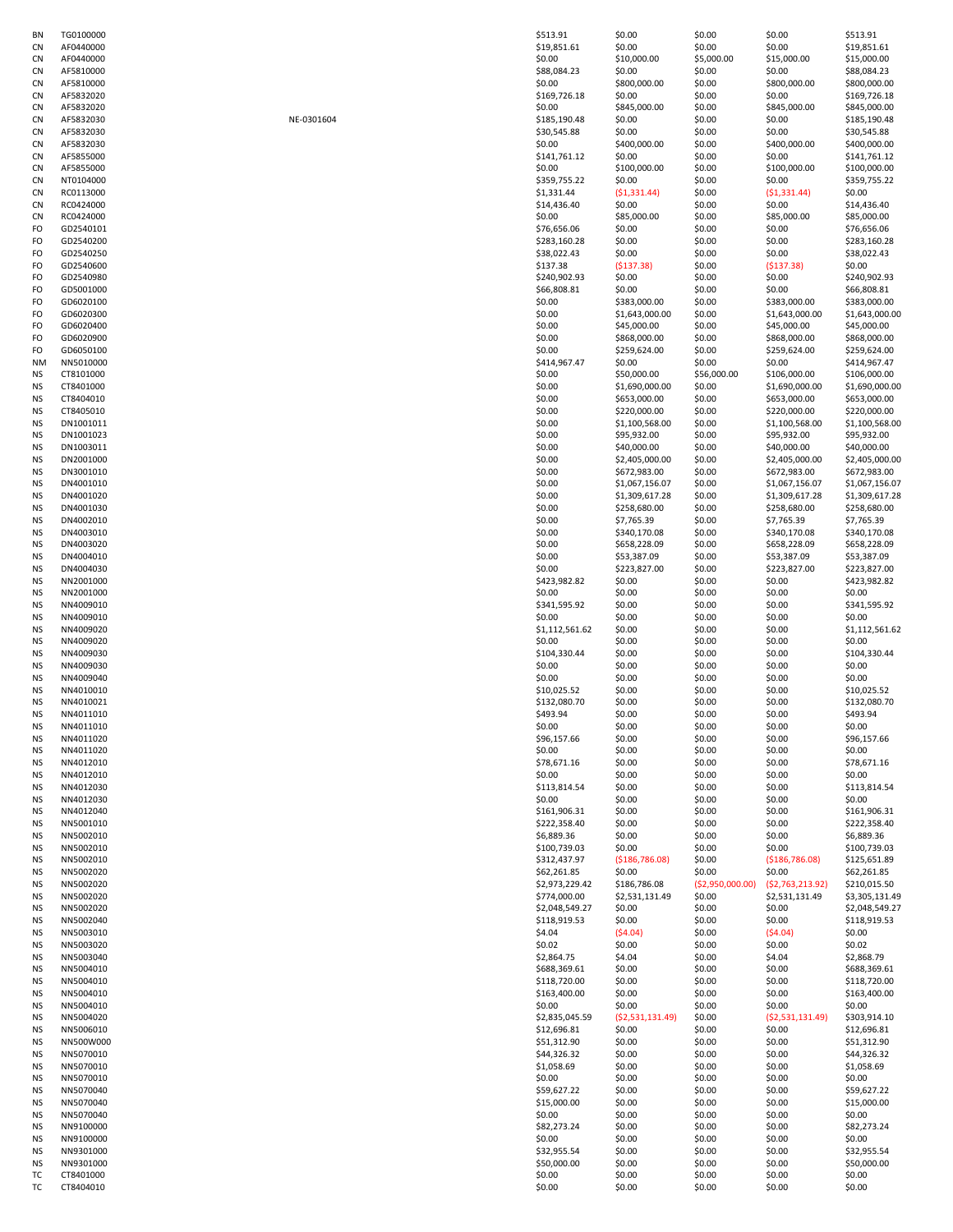| BN        | TG0100000 |            | \$513.91       | \$0.00            | \$0.00           | \$0.00            | \$513. |
|-----------|-----------|------------|----------------|-------------------|------------------|-------------------|--------|
| CN        | AF0440000 |            | \$19,851.61    | \$0.00            | \$0.00           | \$0.00            | \$19,8 |
| CN        | AF0440000 |            | \$0.00         | \$10,000.00       | \$5,000.00       | \$15,000.00       | \$15,0 |
| CN        | AF5810000 |            | \$88,084.23    | \$0.00            | \$0.00           | \$0.00            | \$88,0 |
|           |           |            |                |                   |                  |                   |        |
| CN        | AF5810000 |            | \$0.00         | \$800,000.00      | \$0.00           | \$800,000.00      | \$800  |
| CN        | AF5832020 |            | \$169,726.18   | \$0.00            | \$0.00           | \$0.00            | \$169  |
| CN        | AF5832020 |            | \$0.00         | \$845,000.00      | \$0.00           | \$845,000.00      | \$845  |
| CN        | AF5832030 | NE-0301604 | \$185,190.48   | \$0.00            | \$0.00           | \$0.00            | \$185  |
|           | AF5832030 |            | \$30,545.88    | \$0.00            | \$0.00           | \$0.00            |        |
| CN        |           |            |                |                   |                  |                   | \$30,5 |
| CN        | AF5832030 |            | \$0.00         | \$400,000.00      | \$0.00           | \$400,000.00      | \$400  |
| CN        | AF5855000 |            | \$141,761.12   | \$0.00            | \$0.00           | \$0.00            | \$141  |
| CN        | AF5855000 |            | \$0.00         | \$100,000.00      | \$0.00           | \$100,000.00      | \$100  |
|           |           |            |                |                   |                  |                   |        |
| CN        | NT0104000 |            | \$359,755.22   | \$0.00            | \$0.00           | \$0.00            | \$359  |
| CN        | RC0113000 |            | \$1,331.44     | (51, 331.44)      | \$0.00           | (51, 331.44)      | \$0.00 |
| CN        | RC0424000 |            | \$14,436.40    | \$0.00            | \$0.00           | \$0.00            | \$14,4 |
| CN        | RC0424000 |            | \$0.00         | \$85,000.00       | \$0.00           | \$85,000.00       | \$85,0 |
| FO        |           |            |                | \$0.00            |                  | \$0.00            |        |
|           | GD2540101 |            | \$76,656.06    |                   | \$0.00           |                   | \$76,6 |
| FO        | GD2540200 |            | \$283,160.28   | \$0.00            | \$0.00           | \$0.00            | \$283  |
| FO        | GD2540250 |            | \$38,022.43    | \$0.00            | \$0.00           | \$0.00            | \$38,0 |
| FO        | GD2540600 |            | \$137.38       | (5137.38)         | \$0.00           | (5137.38)         | \$0.00 |
| FO        | GD2540980 |            | \$240,902.93   | \$0.00            | \$0.00           | \$0.00            | \$240  |
|           |           |            |                |                   |                  |                   |        |
| FO        | GD5001000 |            | \$66,808.81    | \$0.00            | \$0.00           | \$0.00            | \$66,8 |
| FO        | GD6020100 |            | \$0.00         | \$383,000.00      | \$0.00           | \$383,000.00      | \$383  |
| FO        | GD6020300 |            | \$0.00         | \$1,643,000.00    | \$0.00           | \$1,643,000.00    | \$1,64 |
| FO        | GD6020400 |            | \$0.00         | \$45,000.00       | \$0.00           | \$45,000.00       | \$45,0 |
|           |           |            |                |                   |                  | \$868,000.00      |        |
| FO        | GD6020900 |            | \$0.00         | \$868,000.00      | \$0.00           |                   | \$868  |
| FO        | GD6050100 |            | \$0.00         | \$259,624.00      | \$0.00           | \$259,624.00      | \$259  |
| ΝM        | NN5010000 |            | \$414,967.47   | \$0.00            | \$0.00           | \$0.00            | \$414  |
| ΝS        | CT8101000 |            | \$0.00         | \$50,000.00       | \$56,000.00      | \$106,000.00      | \$106  |
| ΝS        | CT8401000 |            | \$0.00         | \$1,690,000.00    | \$0.00           | \$1,690,000.00    | \$1,69 |
|           |           |            |                |                   |                  |                   |        |
| ΝS        | CT8404010 |            | \$0.00         | \$653,000.00      | \$0.00           | \$653,000.00      | \$653  |
| ΝS        | CT8405010 |            | \$0.00         | \$220,000.00      | \$0.00           | \$220,000.00      | \$220  |
| NS        | DN1001011 |            | \$0.00         | \$1,100,568.00    | \$0.00           | \$1,100,568.00    | \$1,10 |
| ΝS        | DN1001023 |            | \$0.00         | \$95,932.00       | \$0.00           | \$95,932.00       | \$95,9 |
|           |           |            |                |                   |                  |                   |        |
| ΝS        | DN1003011 |            | \$0.00         | \$40,000.00       | \$0.00           | \$40,000.00       | \$40,0 |
| <b>NS</b> | DN2001000 |            | \$0.00         | \$2,405,000.00    | \$0.00           | \$2,405,000.00    | \$2,40 |
| ΝS        | DN3001010 |            | \$0.00         | \$672,983.00      | \$0.00           | \$672,983.00      | \$672  |
| NS        | DN4001010 |            | \$0.00         | \$1,067,156.07    | \$0.00           | \$1,067,156.07    | \$1,06 |
|           |           |            |                |                   |                  |                   |        |
| ΝS        | DN4001020 |            | \$0.00         | \$1,309,617.28    | \$0.00           | \$1,309,617.28    | \$1,30 |
| ΝS        | DN4001030 |            | \$0.00         | \$258,680.00      | \$0.00           | \$258,680.00      | \$258  |
| ΝS        | DN4002010 |            | \$0.00         | \$7,765.39        | \$0.00           | \$7,765.39        | \$7,76 |
| NS        | DN4003010 |            | \$0.00         | \$340,170.08      | \$0.00           | \$340,170.08      | \$340  |
|           | DN4003020 |            | \$0.00         | \$658,228.09      |                  | \$658,228.09      |        |
| NS        |           |            |                |                   | \$0.00           |                   | \$658  |
| ΝS        | DN4004010 |            | \$0.00         | \$53,387.09       | \$0.00           | \$53,387.09       | \$53,3 |
| ΝS        | DN4004030 |            | \$0.00         | \$223,827.00      | \$0.00           | \$223,827.00      | \$223  |
| NS        | NN2001000 |            | \$423,982.82   | \$0.00            | \$0.00           | \$0.00            | \$423  |
| ΝS        | NN2001000 |            | \$0.00         | \$0.00            | \$0.00           | \$0.00            | \$0.00 |
|           |           |            |                |                   |                  |                   |        |
| NS        | NN4009010 |            | \$341,595.92   | \$0.00            | \$0.00           | \$0.00            | \$341, |
| ΝS        | NN4009010 |            | \$0.00         | \$0.00            | \$0.00           | \$0.00            | \$0.00 |
| ΝS        | NN4009020 |            | \$1,112,561.62 | \$0.00            | \$0.00           | \$0.00            | \$1,11 |
| ΝS        | NN4009020 |            | \$0.00         | \$0.00            | \$0.00           | \$0.00            | \$0.00 |
|           |           |            |                |                   |                  |                   |        |
| ΝS        | NN4009030 |            | \$104,330.44   | \$0.00            | \$0.00           | \$0.00            | \$104  |
| ΝS        | NN4009030 |            | \$0.00         | \$0.00            | \$0.00           | \$0.00            | \$0.00 |
| NS        | NN4009040 |            | \$0.00         | \$0.00            | \$0.00           | \$0.00            | \$0.00 |
| NS        | NN4010010 |            | \$10,025.52    | \$0.00            | \$0.00           | \$0.00            | \$10,0 |
| ΝS        | NN4010021 |            | \$132,080.70   | \$0.00            | \$0.00           | \$0.00            | \$132  |
|           |           |            |                |                   |                  |                   |        |
| ΝS        | NN4011010 |            | \$493.94       | \$0.00            | \$0.00           | \$0.00            | \$493. |
| <b>NS</b> | NN4011010 |            | \$0.00         | \$0.00            | \$0.00           | \$0.00            | \$0.00 |
| NS        | NN4011020 |            | \$96,157.66    | \$0.00            | \$0.00           | \$0.00            | \$96,1 |
| NS        | NN4011020 |            | \$0.00         | \$0.00            | \$0.00           | \$0.00            | \$0.00 |
|           |           |            |                |                   |                  |                   |        |
| <b>NS</b> | NN4012010 |            | \$78,671.16    | \$0.00            | \$0.00           | \$0.00            | \$78,6 |
| <b>NS</b> | NN4012010 |            | \$0.00         | \$0.00            | \$0.00           | \$0.00            | \$0.00 |
| <b>NS</b> | NN4012030 |            | \$113,814.54   | \$0.00            | \$0.00           | \$0.00            | \$113  |
| ΝS        | NN4012030 |            | \$0.00         | \$0.00            | \$0.00           | \$0.00            | \$0.00 |
| NS        | NN4012040 |            | \$161,906.31   | \$0.00            | \$0.00           | \$0.00            | \$161  |
|           | NN5001010 |            |                | \$0.00            |                  |                   | \$222  |
| <b>NS</b> |           |            | \$222,358.40   |                   | \$0.00           | \$0.00            |        |
| <b>NS</b> | NN5002010 |            | \$6,889.36     | \$0.00            | \$0.00           | \$0.00            | \$6,88 |
| NS        | NN5002010 |            | \$100,739.03   | \$0.00            | \$0.00           | \$0.00            | \$100  |
| ΝS        | NN5002010 |            | \$312,437.97   | ( \$186, 786.08)  | \$0.00           | ( \$186, 786.08)  | \$125, |
| NS        | NN5002020 |            | \$62,261.85    | \$0.00            | \$0.00           | \$0.00            | \$62,2 |
| <b>NS</b> | NN5002020 |            | \$2,973,229.42 | \$186,786.08      | (\$2,950,000.00) | (52, 763, 213.92) | \$210  |
|           |           |            |                |                   |                  |                   |        |
| <b>NS</b> | NN5002020 |            | \$774,000.00   | \$2,531,131.49    | \$0.00           | \$2,531,131.49    | \$3,30 |
| NS        | NN5002020 |            | \$2,048,549.27 | \$0.00            | \$0.00           | \$0.00            | \$2,04 |
| ΝS        | NN5002040 |            | \$118,919.53   | \$0.00            | \$0.00           | \$0.00            | \$118  |
| NS        | NN5003010 |            | \$4.04         | (54.04)           | \$0.00           | (54.04)           | \$0.00 |
| <b>NS</b> | NN5003020 |            | \$0.02         | \$0.00            | \$0.00           | \$0.00            | \$0.02 |
|           |           |            |                |                   |                  |                   |        |
| NS        | NN5003040 |            | \$2,864.75     | \$4.04            | \$0.00           | \$4.04            | \$2,86 |
| <b>NS</b> | NN5004010 |            | \$688,369.61   | \$0.00            | \$0.00           | \$0.00            | \$688  |
| ΝS        | NN5004010 |            | \$118,720.00   | \$0.00            | \$0.00           | \$0.00            | \$118  |
| ΝS        | NN5004010 |            | \$163,400.00   | \$0.00            | \$0.00           | \$0.00            | \$163  |
| <b>NS</b> | NN5004010 |            | \$0.00         | \$0.00            | \$0.00           | \$0.00            | \$0.00 |
|           |           |            |                |                   |                  |                   |        |
| <b>NS</b> | NN5004020 |            | \$2,835,045.59 | ( \$2,531,131.49) | \$0.00           | (52,531,131.49)   | \$303, |
| NS        | NN5006010 |            | \$12,696.81    | \$0.00            | \$0.00           | \$0.00            | \$12,6 |
| ΝS        | NN500W000 |            | \$51,312.90    | \$0.00            | \$0.00           | \$0.00            | \$51,3 |
| NS        | NN5070010 |            | \$44,326.32    | \$0.00            | \$0.00           | \$0.00            | \$44,3 |
|           |           |            |                |                   |                  |                   |        |
| <b>NS</b> | NN5070010 |            | \$1,058.69     | \$0.00            | \$0.00           | \$0.00            | \$1,05 |
| NS        | NN5070010 |            | \$0.00         | \$0.00            | \$0.00           | \$0.00            | \$0.00 |
| ΝS        | NN5070040 |            | \$59,627.22    | \$0.00            | \$0.00           | \$0.00            | \$59,6 |
| ΝS        | NN5070040 |            | \$15,000.00    | \$0.00            | \$0.00           | \$0.00            | \$15,0 |
|           |           |            |                |                   |                  |                   |        |
| ΝS        | NN5070040 |            | \$0.00         | \$0.00            | \$0.00           | \$0.00            | \$0.00 |
| NS        | NN9100000 |            | \$82,273.24    | \$0.00            | \$0.00           | \$0.00            | \$82,2 |
| <b>NS</b> | NN9100000 |            | \$0.00         | \$0.00            | \$0.00           | \$0.00            | \$0.00 |
| ΝS        | NN9301000 |            | \$32,955.54    | \$0.00            | \$0.00           | \$0.00            | \$32,9 |
|           |           |            |                |                   |                  |                   |        |
| ΝS        | NN9301000 |            | \$50,000.00    | \$0.00            | \$0.00           | \$0.00            | \$50,0 |
| тc        | CT8401000 |            | \$0.00         | \$0.00            | \$0.00           | \$0.00            | \$0.00 |
| тc        | CT8404010 |            | \$0.00         | \$0.00            | \$0.00           | \$0.00            | \$0.00 |

| NF-0301604 |
|------------|
|------------|

| ΒN | TG0100000 |            | \$513.91       | \$0.00          | \$0.00            | \$0.00            | \$513.91       |
|----|-----------|------------|----------------|-----------------|-------------------|-------------------|----------------|
| CN | AF0440000 |            | \$19,851.61    | \$0.00          | \$0.00            | \$0.00            | \$19,851.61    |
| CN | AF0440000 |            | \$0.00         | \$10,000.00     | \$5,000.00        | \$15,000.00       | \$15,000.00    |
| СN | AF5810000 |            | \$88,084.23    | \$0.00          | \$0.00            | \$0.00            | \$88,084.23    |
| СN | AF5810000 |            | \$0.00         | \$800,000.00    | \$0.00            | \$800,000.00      | \$800,000.00   |
| СN | AF5832020 |            | \$169,726.18   | \$0.00          | \$0.00            | \$0.00            | \$169,726.18   |
| СN | AF5832020 |            | \$0.00         | \$845,000.00    | \$0.00            | \$845,000.00      | \$845,000.00   |
| СN | AF5832030 | NE-0301604 | \$185,190.48   | \$0.00          | \$0.00            | \$0.00            | \$185,190.48   |
| СN | AF5832030 |            | \$30,545.88    | \$0.00          | \$0.00            | \$0.00            | \$30,545.88    |
| СN | AF5832030 |            | \$0.00         | \$400,000.00    | \$0.00            | \$400,000.00      | \$400,000.00   |
| СN | AF5855000 |            | \$141,761.12   | \$0.00          | \$0.00            | \$0.00            | \$141,761.12   |
| СN | AF5855000 |            | \$0.00         | \$100,000.00    | \$0.00            | \$100,000.00      | \$100,000.00   |
| СN | NT0104000 |            | \$359,755.22   | \$0.00          | \$0.00            | \$0.00            | \$359,755.22   |
| СN | RC0113000 |            | \$1,331.44     | (51, 331.44)    | \$0.00            | (51, 331.44)      | \$0.00         |
| СN | RC0424000 |            | \$14,436.40    | \$0.00          | \$0.00            | \$0.00            | \$14,436.40    |
| СN | RC0424000 |            | \$0.00         | \$85,000.00     | \$0.00            | \$85,000.00       | \$85,000.00    |
| FO | GD2540101 |            | \$76,656.06    | \$0.00          | \$0.00            | \$0.00            | \$76,656.06    |
|    |           |            |                |                 |                   |                   |                |
| FO | GD2540200 |            | \$283,160.28   | \$0.00          | \$0.00            | \$0.00            | \$283,160.28   |
| FO | GD2540250 |            | \$38,022.43    | \$0.00          | \$0.00            | \$0.00            | \$38,022.43    |
| FO | GD2540600 |            | \$137.38       | (5137.38)       | \$0.00            | (5137.38)         | \$0.00         |
| FO | GD2540980 |            | \$240,902.93   | \$0.00          | \$0.00            | \$0.00            | \$240,902.93   |
| FO | GD5001000 |            | \$66,808.81    | \$0.00          | \$0.00            | \$0.00            | \$66,808.81    |
| FO | GD6020100 |            | \$0.00         | \$383,000.00    | \$0.00            | \$383,000.00      | \$383,000.00   |
| FO | GD6020300 |            | \$0.00         | \$1,643,000.00  | \$0.00            | \$1,643,000.00    | \$1,643,000.00 |
| FO | GD6020400 |            | \$0.00         | \$45,000.00     | \$0.00            | \$45,000.00       | \$45,000.00    |
| FO | GD6020900 |            | \$0.00         | \$868,000.00    | \$0.00            | \$868,000.00      | \$868,000.00   |
| FO | GD6050100 |            | \$0.00         | \$259,624.00    | \$0.00            | \$259,624.00      | \$259,624.00   |
| NΜ | NN5010000 |            | \$414,967.47   | \$0.00          | \$0.00            | \$0.00            | \$414,967.47   |
| ΝS | CT8101000 |            | \$0.00         | \$50,000.00     | \$56,000.00       | \$106,000.00      | \$106,000.00   |
| ΝS | CT8401000 |            | \$0.00         | \$1,690,000.00  | \$0.00            | \$1,690,000.00    | \$1,690,000.00 |
| ΝS | CT8404010 |            | \$0.00         | \$653.000.00    | \$0.00            | \$653,000.00      | \$653,000.00   |
| ΝS | CT8405010 |            | \$0.00         | \$220,000.00    | \$0.00            | \$220,000.00      | \$220,000.00   |
|    |           |            |                |                 |                   |                   |                |
| ΝS | DN1001011 |            | \$0.00         | \$1,100,568.00  | \$0.00            | \$1,100,568.00    | \$1,100,568.00 |
| ΝS | DN1001023 |            | \$0.00         | \$95,932.00     | \$0.00            | \$95,932.00       | \$95,932.00    |
| ΝS | DN1003011 |            | \$0.00         | \$40,000.00     | \$0.00            | \$40,000.00       | \$40,000.00    |
| ΝS | DN2001000 |            | \$0.00         | \$2,405,000.00  | \$0.00            | \$2,405,000.00    | \$2,405,000.00 |
| ΝS | DN3001010 |            | \$0.00         | \$672,983.00    | \$0.00            | \$672,983.00      | \$672,983.00   |
| ΝS | DN4001010 |            | \$0.00         | \$1,067,156.07  | \$0.00            | \$1,067,156.07    | \$1,067,156.07 |
| ΝS | DN4001020 |            | \$0.00         | \$1,309,617.28  | \$0.00            | \$1,309,617.28    | \$1,309,617.28 |
| ΝS | DN4001030 |            | \$0.00         | \$258,680.00    | \$0.00            | \$258,680.00      | \$258,680.00   |
| ΝS | DN4002010 |            | \$0.00         | \$7,765.39      | \$0.00            | \$7,765.39        | \$7,765.39     |
| ΝS | DN4003010 |            | \$0.00         | \$340,170.08    | \$0.00            | \$340,170.08      | \$340,170.08   |
| ΝS | DN4003020 |            | \$0.00         | \$658,228.09    | \$0.00            | \$658,228.09      | \$658,228.09   |
| ΝS | DN4004010 |            | \$0.00         | \$53,387.09     | \$0.00            | \$53,387.09       | \$53,387.09    |
| ΝS | DN4004030 |            | \$0.00         | \$223,827.00    | \$0.00            | \$223,827.00      | \$223,827.00   |
| ΝS | NN2001000 |            | \$423,982.82   | \$0.00          | \$0.00            | \$0.00            | \$423,982.82   |
| ΝS | NN2001000 |            | \$0.00         | \$0.00          | \$0.00            | \$0.00            | \$0.00         |
|    | NN4009010 |            | \$341,595.92   |                 | \$0.00            | \$0.00            | \$341,595.92   |
| ΝS |           |            |                | \$0.00          |                   |                   |                |
| ΝS | NN4009010 |            | \$0.00         | \$0.00          | \$0.00            | \$0.00            | \$0.00         |
| ΝS | NN4009020 |            | \$1,112,561.62 | \$0.00          | \$0.00            | \$0.00            | \$1,112,561.62 |
| ΝS | NN4009020 |            | \$0.00         | \$0.00          | \$0.00            | \$0.00            | \$0.00         |
| ΝS | NN4009030 |            | \$104,330.44   | \$0.00          | \$0.00            | \$0.00            | \$104,330.44   |
| ΝS | NN4009030 |            | \$0.00         | \$0.00          | \$0.00            | \$0.00            | \$0.00         |
| ΝS | NN4009040 |            | \$0.00         | \$0.00          | \$0.00            | \$0.00            | \$0.00         |
| ΝS | NN4010010 |            | \$10,025.52    | \$0.00          | \$0.00            | \$0.00            | \$10,025.52    |
| ΝS | NN4010021 |            | \$132,080.70   | \$0.00          | \$0.00            | \$0.00            | \$132,080.70   |
| NS | NN4011010 |            | \$493.94       | \$0.00          | \$0.00            | \$0.00            | \$493.94       |
| ΝS | NN4011010 |            | \$0.00         | \$0.00          | \$0.00            | \$0.00            | \$0.00         |
| ΝS | NN4011020 |            | \$96,157.66    | \$0.00          | \$0.00            | \$0.00            | \$96,157.66    |
| ΝS | NN4011020 |            | \$0.00         | \$0.00          | \$0.00            | \$0.00            | \$0.00         |
| ΝS | NN4012010 |            | \$78,671.16    | \$0.00          | \$0.00            | \$0.00            | \$78,671.16    |
| ΝS | NN4012010 |            | \$0.00         | \$0.00          | \$0.00            | \$0.00            | \$0.00         |
| ΝS | NN4012030 |            | \$113,814.54   | \$0.00          | \$0.00            | \$0.00            | \$113,814.54   |
|    |           |            |                |                 |                   |                   |                |
| ΝS | NN4012030 |            | \$0.00         | \$0.00          | \$0.00            | \$0.00            | \$0.00         |
| ΝS | NN4012040 |            | \$161,906.31   | \$0.00          | \$0.00            | \$0.00            | \$161,906.31   |
| ΝS | NN5001010 |            | \$222,358.40   | \$0.00          | \$0.00            | \$0.00            | \$222,358.40   |
| ΝS | NN5002010 |            | \$6,889.36     | \$0.00          | \$0.00            | \$0.00            | \$6,889.36     |
| ΝS | NN5002010 |            | \$100,739.03   | \$0.00          | \$0.00            | \$0.00            | \$100,739.03   |
| ΝS | NN5002010 |            | \$312,437.97   | (5186, 786.08)  | \$0.00            | ( \$186, 786.08)  | \$125,651.89   |
| ΝS | NN5002020 |            | \$62,261.85    | \$0.00          | \$0.00            | \$0.00            | \$62,261.85    |
| ΝS | NN5002020 |            | \$2,973,229.42 | \$186,786.08    | ( \$2,950,000.00) | (52, 763, 213.92) | \$210,015.50   |
| ΝS | NN5002020 |            | \$774,000.00   | \$2,531,131.49  | \$0.00            | \$2,531,131.49    | \$3,305,131.49 |
| ΝS | NN5002020 |            | \$2,048,549.27 | \$0.00          | \$0.00            | \$0.00            | \$2,048,549.27 |
| ΝS | NN5002040 |            | \$118,919.53   | \$0.00          | \$0.00            | \$0.00            | \$118,919.53   |
| ΝS | NN5003010 |            | \$4.04         | (54.04)         | \$0.00            | (54.04)           | \$0.00         |
| ΝS | NN5003020 |            | \$0.02         | \$0.00          | \$0.00            | \$0.00            | \$0.02         |
| ΝS | NN5003040 |            | \$2,864.75     | \$4.04          | \$0.00            | \$4.04            | \$2,868.79     |
| ΝS | NN5004010 |            | \$688,369.61   | \$0.00          | \$0.00            | \$0.00            | \$688,369.61   |
| ΝS | NN5004010 |            | \$118,720.00   | \$0.00          | \$0.00            | \$0.00            | \$118,720.00   |
|    | NN5004010 |            | \$163,400.00   | \$0.00          | \$0.00            | \$0.00            | \$163,400.00   |
| ΝS |           |            |                |                 |                   |                   |                |
| ΝS | NN5004010 |            | \$0.00         | \$0.00          | \$0.00            | \$0.00            | \$0.00         |
| ΝS | NN5004020 |            | \$2,835,045.59 | (52,531,131.49) | \$0.00            | (52,531,131.49)   | \$303,914.10   |
| ΝS | NN5006010 |            | \$12,696.81    | \$0.00          | \$0.00            | \$0.00            | \$12,696.81    |
| ΝS | NN500W000 |            | \$51,312.90    | \$0.00          | \$0.00            | \$0.00            | \$51,312.90    |
| ΝS | NN5070010 |            | \$44,326.32    | \$0.00          | \$0.00            | \$0.00            | \$44,326.32    |
| ΝS | NN5070010 |            | \$1,058.69     | \$0.00          | \$0.00            | \$0.00            | \$1,058.69     |
| ΝS | NN5070010 |            | \$0.00         | \$0.00          | \$0.00            | \$0.00            | \$0.00         |
| ΝS | NN5070040 |            | \$59,627.22    | \$0.00          | \$0.00            | \$0.00            | \$59,627.22    |
| ΝS | NN5070040 |            | \$15,000.00    | \$0.00          | \$0.00            | \$0.00            | \$15,000.00    |
| ΝS | NN5070040 |            | \$0.00         | \$0.00          | \$0.00            | \$0.00            | \$0.00         |
| ΝS | NN9100000 |            | \$82,273.24    | \$0.00          | \$0.00            | \$0.00            | \$82,273.24    |
| ΝS | NN9100000 |            | \$0.00         | \$0.00          | \$0.00            | \$0.00            | \$0.00         |
| ΝS | NN9301000 |            | \$32,955.54    | \$0.00          | \$0.00            | \$0.00            | \$32,955.54    |
|    |           |            |                |                 |                   |                   |                |
| ΝS | NN9301000 |            | \$50,000.00    | \$0.00          | \$0.00            | \$0.00            | \$50,000.00    |
| ТC | CT8401000 |            | \$0.00         | \$0.00          | \$0.00            | \$0.00            | \$0.00         |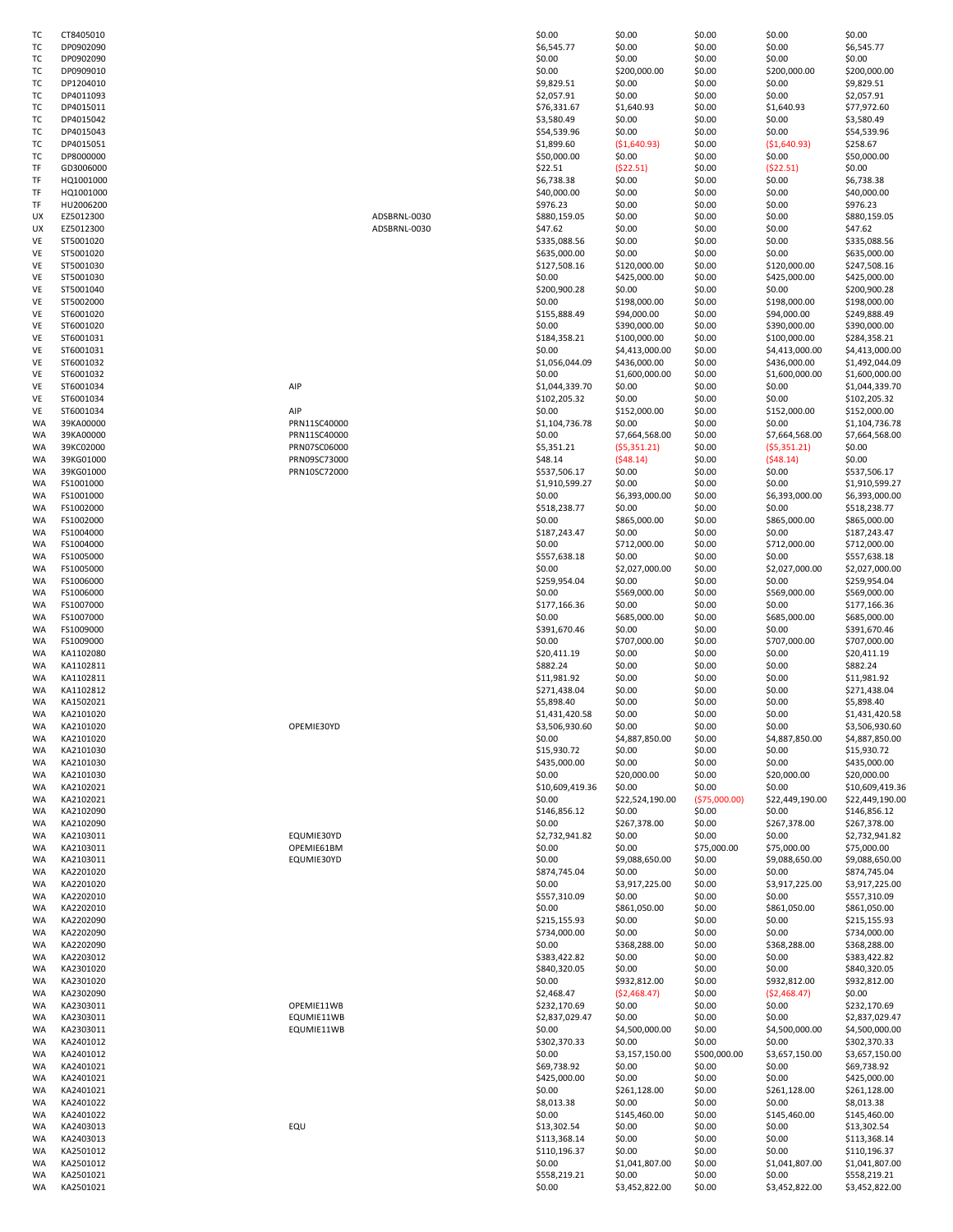| тс        | CT8405010 |              | \$0.00          | \$0.00          | \$0.00         | \$0.00          | \$0.00         |
|-----------|-----------|--------------|-----------------|-----------------|----------------|-----------------|----------------|
|           | DP0902090 |              | \$6,545.77      | \$0.00          |                | \$0.00          | \$6,545.77     |
| тс        |           |              |                 |                 | \$0.00         |                 |                |
| тс        | DP0902090 |              | \$0.00          | \$0.00          | \$0.00         | \$0.00          | \$0.00         |
| ТC        | DP0909010 |              | \$0.00          | \$200,000.00    | \$0.00         | \$200,000.00    | \$200,000.00   |
| тс        | DP1204010 |              | \$9,829.51      | \$0.00          | \$0.00         | \$0.00          | \$9,829.51     |
| тс        | DP4011093 |              | \$2,057.91      | \$0.00          | \$0.00         | \$0.00          | \$2,057.91     |
| тс        | DP4015011 |              | \$76,331.67     | \$1,640.93      | \$0.00         | \$1,640.93      | \$77,972.60    |
| тс        | DP4015042 |              | \$3,580.49      | \$0.00          | \$0.00         | \$0.00          | \$3,580.49     |
|           |           |              |                 |                 |                |                 | \$54,539.96    |
| ТC        | DP4015043 |              | \$54,539.96     | \$0.00          | \$0.00         | \$0.00          |                |
| тс        | DP4015051 |              | \$1,899.60      | ( \$1,640.93)   | \$0.00         | (51,640.93)     | \$258.67       |
| тс        | DP8000000 |              | \$50,000.00     | \$0.00          | \$0.00         | \$0.00          | \$50,000.00    |
| TF        | GD3006000 |              | \$22.51         | (522.51)        | \$0.00         | (522.51)        | \$0.00         |
| TF        | HQ1001000 |              | \$6,738.38      | \$0.00          | \$0.00         | \$0.00          | \$6,738.38     |
| TF        | HQ1001000 |              | \$40,000.00     | \$0.00          | \$0.00         | \$0.00          | \$40,000.00    |
|           |           |              |                 |                 |                |                 |                |
| TF        | HU2006200 |              | \$976.23        | \$0.00          | \$0.00         | \$0.00          | \$976.23       |
| UX        | EZ5012300 | ADSBRNL-0030 | \$880,159.05    | \$0.00          | \$0.00         | \$0.00          | \$880,159.05   |
| UX        | EZ5012300 | ADSBRNL-0030 | \$47.62         | \$0.00          | \$0.00         | \$0.00          | \$47.62        |
| VE        | ST5001020 |              | \$335,088.56    | \$0.00          | \$0.00         | \$0.00          | \$335,088.56   |
| VE        | ST5001020 |              | \$635,000.00    | \$0.00          | \$0.00         | \$0.00          | \$635,000.00   |
| VE        | ST5001030 |              | \$127,508.16    | \$120,000.00    | \$0.00         | \$120,000.00    | \$247,508.16   |
|           | ST5001030 |              | \$0.00          | \$425,000.00    | \$0.00         | \$425,000.00    | \$425,000.00   |
| VE        |           |              |                 |                 |                |                 |                |
| VE        | ST5001040 |              | \$200,900.28    | \$0.00          | \$0.00         | \$0.00          | \$200,900.28   |
| VE        | ST5002000 |              | \$0.00          | \$198,000.00    | \$0.00         | \$198,000.00    | \$198,000.00   |
| VE        | ST6001020 |              | \$155,888.49    | \$94,000.00     | \$0.00         | \$94,000.00     | \$249,888.49   |
| VE        | ST6001020 |              | \$0.00          | \$390,000.00    | \$0.00         | \$390,000.00    | \$390,000.00   |
| VE        | ST6001031 |              | \$184,358.21    | \$100,000.00    | \$0.00         | \$100,000.00    | \$284,358.21   |
| VE        | ST6001031 |              | \$0.00          | \$4,413,000.00  | \$0.00         | \$4,413,000.00  | \$4,413,000.00 |
|           |           |              |                 |                 |                |                 |                |
| VE        | ST6001032 |              | \$1,056,044.09  | \$436,000.00    | \$0.00         | \$436,000.00    | \$1,492,044.09 |
| VE        | ST6001032 |              | \$0.00          | \$1,600,000.00  | \$0.00         | \$1,600,000.00  | \$1,600,000.00 |
| VE        | ST6001034 | AIP          | \$1,044,339.70  | \$0.00          | \$0.00         | \$0.00          | \$1,044,339.70 |
| VE        | ST6001034 |              | \$102,205.32    | \$0.00          | \$0.00         | \$0.00          | \$102,205.32   |
| VE        | ST6001034 | AIP          | \$0.00          | \$152,000.00    | \$0.00         | \$152,000.00    | \$152,000.00   |
| WA        | 39KA00000 | PRN11SC40000 |                 | \$0.00          | \$0.00         | \$0.00          | \$1,104,736.78 |
|           |           |              | \$1,104,736.78  |                 |                |                 |                |
| WA        | 39KA00000 | PRN11SC40000 | \$0.00          | \$7,664,568.00  | \$0.00         | \$7,664,568.00  | \$7,664,568.00 |
| WA        | 39KC02000 | PRN07SC06000 | \$5,351.21      | (55,351.21)     | \$0.00         | (55,351.21)     | \$0.00         |
| WA        | 39KG01000 | PRN09SC73000 | \$48.14         | (548.14)        | \$0.00         | (548.14)        | \$0.00         |
| WA        | 39KG01000 | PRN10SC72000 | \$537,506.17    | \$0.00          | \$0.00         | \$0.00          | \$537,506.17   |
| WA        | FS1001000 |              | \$1,910,599.27  | \$0.00          | \$0.00         | \$0.00          | \$1,910,599.27 |
|           |           |              |                 |                 |                |                 |                |
| WA        | FS1001000 |              | \$0.00          | \$6,393,000.00  | \$0.00         | \$6,393,000.00  | \$6,393,000.00 |
| WA        | FS1002000 |              | \$518,238.77    | \$0.00          | \$0.00         | \$0.00          | \$518,238.77   |
| WA        | FS1002000 |              | \$0.00          | \$865,000.00    | \$0.00         | \$865,000.00    | \$865,000.00   |
| WA        | FS1004000 |              | \$187,243.47    | \$0.00          | \$0.00         | \$0.00          | \$187,243.47   |
| WA        | FS1004000 |              | \$0.00          | \$712,000.00    | \$0.00         | \$712,000.00    | \$712,000.00   |
| WA        | FS1005000 |              | \$557,638.18    | \$0.00          | \$0.00         | \$0.00          | \$557,638.18   |
|           |           |              |                 |                 |                |                 |                |
| WA        | FS1005000 |              | \$0.00          | \$2,027,000.00  | \$0.00         | \$2,027,000.00  | \$2,027,000.00 |
| WA        | FS1006000 |              | \$259,954.04    | \$0.00          | \$0.00         | \$0.00          | \$259,954.04   |
| WA        | FS1006000 |              | \$0.00          | \$569,000.00    | \$0.00         | \$569,000.00    | \$569,000.00   |
| WA        | FS1007000 |              | \$177,166.36    | \$0.00          | \$0.00         | \$0.00          | \$177,166.36   |
| WA        | FS1007000 |              | \$0.00          | \$685,000.00    | \$0.00         | \$685,000.00    | \$685,000.00   |
| WA        | FS1009000 |              | \$391,670.46    | \$0.00          | \$0.00         | \$0.00          | \$391,670.46   |
|           |           |              |                 |                 |                |                 |                |
| WA        | FS1009000 |              | \$0.00          | \$707,000.00    | \$0.00         | \$707,000.00    | \$707,000.00   |
| WA        | KA1102080 |              | \$20,411.19     | \$0.00          | \$0.00         | \$0.00          | \$20,411.19    |
| WA        | KA1102811 |              | \$882.24        | \$0.00          | \$0.00         | \$0.00          | \$882.24       |
| WA        | KA1102811 |              | \$11,981.92     | \$0.00          | \$0.00         | \$0.00          | \$11,981.92    |
| WA        | KA1102812 |              | \$271,438.04    | \$0.00          | \$0.00         | \$0.00          | \$271,438.04   |
| WA        | KA1502021 |              | \$5,898.40      | \$0.00          | \$0.00         | \$0.00          | \$5,898.40     |
|           |           |              |                 |                 |                |                 |                |
| <b>WA</b> | KA2101020 |              | \$1,431,420.58  | \$0.00          | \$0.00         | \$0.00          | \$1,431,420.58 |
| WA        | KA2101020 | OPEMIE30YD   | \$3,506,930.60  | \$0.00          | \$0.00         | \$0.00          | \$3,506,930.60 |
| WA        | KA2101020 |              | \$0.00          | \$4,887,850.00  | \$0.00         | \$4,887,850.00  | \$4,887,850.00 |
| WA        | KA2101030 |              | \$15,930.72     | \$0.00          | \$0.00         | \$0.00          | \$15,930.72    |
| WA        | KA2101030 |              | \$435,000.00    | \$0.00          | \$0.00         | \$0.00          | \$435,000.00   |
| WA        | KA2101030 |              | \$0.00          | \$20,000.00     | \$0.00         | \$20,000.00     | \$20,000.00    |
|           |           |              |                 |                 |                |                 |                |
| WA        | KA2102021 |              | \$10,609,419.36 | \$0.00          | \$0.00         | \$0.00          | \$10,609,419.3 |
| WA        | KA2102021 |              | \$0.00          | \$22,524,190.00 | ( \$75,000.00) | \$22,449,190.00 | \$22,449,190.0 |
| WA        | KA2102090 |              | \$146,856.12    | \$0.00          | \$0.00         | \$0.00          | \$146,856.12   |
| WA        | KA2102090 |              | \$0.00          | \$267,378.00    | \$0.00         | \$267,378.00    | \$267,378.00   |
| WA        | KA2103011 | EQUMIE30YD   | \$2,732,941.82  | \$0.00          | \$0.00         | \$0.00          | \$2,732,941.82 |
| WA        | KA2103011 | OPEMIE61BM   | \$0.00          | \$0.00          | \$75,000.00    | \$75,000.00     | \$75,000.00    |
| WA        | KA2103011 | EQUMIE30YD   | \$0.00          | \$9,088,650.00  | \$0.00         | \$9,088,650.00  | \$9,088,650.00 |
|           |           |              |                 |                 |                |                 |                |
| WA        | KA2201020 |              | \$874,745.04    | \$0.00          | \$0.00         | \$0.00          | \$874,745.04   |
| WA        | KA2201020 |              | \$0.00          | \$3,917,225.00  | \$0.00         | \$3,917,225.00  | \$3,917,225.00 |
| WA        | KA2202010 |              | \$557,310.09    | \$0.00          | \$0.00         | \$0.00          | \$557,310.09   |
| WA        | KA2202010 |              | \$0.00          | \$861,050.00    | \$0.00         | \$861,050.00    | \$861,050.00   |
| WA        | KA2202090 |              | \$215,155.93    | \$0.00          | \$0.00         | \$0.00          | \$215,155.93   |
| WA        | KA2202090 |              | \$734,000.00    | \$0.00          | \$0.00         | \$0.00          | \$734,000.00   |
| WA        |           |              |                 |                 |                |                 | \$368,288.00   |
|           | KA2202090 |              | \$0.00          | \$368,288.00    | \$0.00         | \$368,288.00    |                |
| WA        | KA2203012 |              | \$383,422.82    | \$0.00          | \$0.00         | \$0.00          | \$383,422.82   |
| WA        | KA2301020 |              | \$840,320.05    | \$0.00          | \$0.00         | \$0.00          | \$840,320.05   |
| WA        | KA2301020 |              | \$0.00          | \$932,812.00    | \$0.00         | \$932,812.00    | \$932,812.00   |
| WA        | KA2302090 |              | \$2,468.47      | (52, 468.47)    | \$0.00         | (52, 468.47)    | \$0.00         |
| WA        | KA2303011 | OPEMIE11WB   | \$232,170.69    | \$0.00          | \$0.00         | \$0.00          | \$232,170.69   |
|           |           |              |                 |                 |                |                 |                |
| WA        | KA2303011 | EQUMIE11WB   | \$2,837,029.47  | \$0.00          | \$0.00         | \$0.00          | \$2,837,029.47 |
| WA        | KA2303011 | EQUMIE11WB   | \$0.00          | \$4,500,000.00  | \$0.00         | \$4,500,000.00  | \$4,500,000.00 |
| WA        | KA2401012 |              | \$302,370.33    | \$0.00          | \$0.00         | \$0.00          | \$302,370.33   |
| WA        | KA2401012 |              | \$0.00          | \$3,157,150.00  | \$500,000.00   | \$3,657,150.00  | \$3,657,150.00 |
| WA        | KA2401021 |              | \$69,738.92     | \$0.00          | \$0.00         | \$0.00          | \$69,738.92    |
| WA        | KA2401021 |              | \$425,000.00    | \$0.00          | \$0.00         | \$0.00          | \$425,000.00   |
|           |           |              |                 |                 |                |                 |                |
| WA        | KA2401021 |              | \$0.00          | \$261,128.00    | \$0.00         | \$261,128.00    | \$261,128.00   |
| WA        | KA2401022 |              | \$8,013.38      | \$0.00          | \$0.00         | \$0.00          | \$8,013.38     |
| WA        | KA2401022 |              | \$0.00          | \$145,460.00    | \$0.00         | \$145,460.00    | \$145,460.00   |
| WA        | KA2403013 | EQU          | \$13,302.54     | \$0.00          | \$0.00         | \$0.00          | \$13,302.54    |
| WA        | KA2403013 |              | \$113,368.14    | \$0.00          | \$0.00         | \$0.00          | \$113,368.14   |
| WA        | KA2501012 |              | \$110,196.37    | \$0.00          | \$0.00         | \$0.00          | \$110,196.37   |
|           |           |              |                 |                 |                |                 |                |
| WA        | KA2501012 |              | \$0.00          | \$1,041,807.00  | \$0.00         | \$1,041,807.00  | \$1,041,807.00 |
| WA        | KA2501021 |              | \$558,219.21    | \$0.00          | \$0.00         | \$0.00          | \$558,219.21   |
| WA        | KA2501021 |              | \$0.00          | \$3,452,822.00  | \$0.00         | \$3,452,822.00  | \$3,452,822.00 |

| ТC<br>тс | CT8405010<br>DP0902090 |              | \$0.00<br>\$6,545.77           | \$0.00<br>\$0.00             | \$0.00<br>\$0.00       | \$0.00<br>\$0.00             | \$0.00<br>\$6,545.77           |
|----------|------------------------|--------------|--------------------------------|------------------------------|------------------------|------------------------------|--------------------------------|
| ТC       | DP0902090              |              | \$0.00                         | \$0.00                       | \$0.00                 | \$0.00                       | \$0.00                         |
| ТC       | DP0909010              |              | \$0.00                         | \$200,000.00                 | \$0.00                 | \$200,000.00                 | \$200,000.00                   |
| ТC       | DP1204010              |              | \$9,829.51                     | \$0.00                       | \$0.00                 | \$0.00                       | \$9,829.51                     |
| тс       | DP4011093              |              | \$2,057.91                     | \$0.00                       | \$0.00                 | \$0.00                       | \$2,057.91                     |
| тс       | DP4015011              |              | \$76,331.67                    | \$1,640.93                   | \$0.00                 | \$1,640.93                   | \$77,972.60                    |
| ТC       | DP4015042              |              | \$3,580.49                     | \$0.00                       | \$0.00                 | \$0.00                       | \$3,580.49                     |
| ТC       | DP4015043              |              | \$54,539.96                    | \$0.00                       | \$0.00                 | \$0.00                       | \$54,539.96                    |
| тс       | DP4015051              |              | \$1,899.60                     | (51,640.93)                  | \$0.00                 | (51,640.93)                  | \$258.67                       |
| ТC       | DP8000000              |              | \$50,000.00                    | \$0.00                       | \$0.00                 | \$0.00                       | \$50,000.00                    |
| TF<br>TF | GD3006000<br>HQ1001000 |              | \$22.51<br>\$6,738.38          | (522.51)<br>\$0.00           | \$0.00<br>\$0.00       | (522.51)<br>\$0.00           | \$0.00                         |
| TF       | HQ1001000              |              | \$40,000.00                    | \$0.00                       | \$0.00                 | \$0.00                       | \$6,738.38<br>\$40,000.00      |
| TF       | HU2006200              |              | \$976.23                       | \$0.00                       | \$0.00                 | \$0.00                       | \$976.23                       |
| UΧ       | EZ5012300              | ADSBRNL-0030 | \$880,159.05                   | \$0.00                       | \$0.00                 | \$0.00                       | \$880,159.05                   |
| UX       | EZ5012300              | ADSBRNL-0030 | \$47.62                        | \$0.00                       | \$0.00                 | \$0.00                       | \$47.62                        |
| VE       | ST5001020              |              | \$335,088.56                   | \$0.00                       | \$0.00                 | \$0.00                       | \$335,088.56                   |
| VE       | ST5001020              |              | \$635,000.00                   | \$0.00                       | \$0.00                 | \$0.00                       | \$635,000.00                   |
| VE       | ST5001030              |              | \$127,508.16                   | \$120,000.00                 | \$0.00                 | \$120,000.00                 | \$247,508.16                   |
| VE       | ST5001030              |              | \$0.00                         | \$425,000.00                 | \$0.00                 | \$425,000.00                 | \$425,000.00                   |
| VE       | ST5001040              |              | \$200,900.28                   | \$0.00                       | \$0.00                 | \$0.00                       | \$200,900.28                   |
| VE       | ST5002000              |              | \$0.00                         | \$198,000.00                 | \$0.00                 | \$198,000.00                 | \$198,000.00                   |
| VE       | ST6001020              |              | \$155,888.49                   | \$94,000.00                  | \$0.00                 | \$94,000.00                  | \$249,888.49<br>\$390,000.00   |
| VE<br>VE | ST6001020<br>ST6001031 |              | \$0.00<br>\$184,358.21         | \$390,000.00<br>\$100,000.00 | \$0.00<br>\$0.00       | \$390,000.00<br>\$100,000.00 | \$284,358.21                   |
| VE       | ST6001031              |              | \$0.00                         | \$4,413,000.00               | \$0.00                 | \$4,413,000.00               | \$4,413,000.00                 |
| VE       | ST6001032              |              | \$1,056,044.09                 | \$436,000.00                 | \$0.00                 | \$436,000.00                 | \$1,492,044.09                 |
| VE       | ST6001032              |              | \$0.00                         | \$1,600,000.00               | \$0.00                 | \$1,600,000.00               | \$1,600,000.00                 |
| VE       | ST6001034              | AIP          | \$1,044,339.70                 | \$0.00                       | \$0.00                 | \$0.00                       | \$1,044,339.70                 |
| VE       | ST6001034              |              | \$102,205.32                   | \$0.00                       | \$0.00                 | \$0.00                       | \$102,205.32                   |
| VE       | ST6001034              | AIP          | \$0.00                         | \$152,000.00                 | \$0.00                 | \$152,000.00                 | \$152,000.00                   |
| WA       | 39KA00000              | PRN11SC40000 | \$1,104,736.78                 | \$0.00                       | \$0.00                 | \$0.00                       | \$1,104,736.78                 |
| WA       | 39KA00000              | PRN11SC40000 | \$0.00                         | \$7,664,568.00               | \$0.00                 | \$7,664,568.00               | \$7,664,568.00                 |
| WA       | 39KC02000              | PRN07SC06000 | \$5,351.21                     | (55, 351.21)                 | \$0.00                 | (55, 351.21)                 | \$0.00                         |
| WA       | 39KG01000              | PRN09SC73000 | \$48.14                        | (548.14)                     | \$0.00                 | (548.14)                     | \$0.00                         |
| WA<br>WA | 39KG01000<br>FS1001000 | PRN10SC72000 | \$537,506.17<br>\$1,910,599.27 | \$0.00<br>\$0.00             | \$0.00<br>\$0.00       | \$0.00<br>\$0.00             | \$537,506.17<br>\$1,910,599.27 |
| WA       | FS1001000              |              | \$0.00                         | \$6,393,000.00               | \$0.00                 | \$6,393,000.00               | \$6,393,000.00                 |
| WA       | FS1002000              |              | \$518,238.77                   | \$0.00                       | \$0.00                 | \$0.00                       | \$518,238.77                   |
| WA       | FS1002000              |              | \$0.00                         | \$865,000.00                 | \$0.00                 | \$865,000.00                 | \$865,000.00                   |
| WA       | FS1004000              |              | \$187,243.47                   | \$0.00                       | \$0.00                 | \$0.00                       | \$187,243.47                   |
| WA       | FS1004000              |              | \$0.00                         | \$712,000.00                 | \$0.00                 | \$712,000.00                 | \$712,000.00                   |
| WA       | FS1005000              |              | \$557,638.18                   | \$0.00                       | \$0.00                 | \$0.00                       | \$557,638.18                   |
| WA       | FS1005000              |              | \$0.00                         | \$2,027,000.00               | \$0.00                 | \$2,027,000.00               | \$2,027,000.00                 |
| WA       | FS1006000              |              | \$259,954.04                   | \$0.00                       | \$0.00                 | \$0.00                       | \$259,954.04                   |
| WA       | FS1006000              |              | \$0.00                         | \$569,000.00                 | \$0.00                 | \$569,000.00                 | \$569,000.00                   |
| WA       | FS1007000              |              | \$177,166.36                   | \$0.00                       | \$0.00                 | \$0.00                       | \$177,166.36                   |
| WA       | FS1007000<br>FS1009000 |              | \$0.00                         | \$685,000.00<br>\$0.00       | \$0.00<br>\$0.00       | \$685,000.00<br>\$0.00       | \$685,000.00<br>\$391,670.46   |
| WA<br>WA | FS1009000              |              | \$391,670.46<br>\$0.00         | \$707,000.00                 | \$0.00                 | \$707,000.00                 | \$707,000.00                   |
| WA       | KA1102080              |              | \$20,411.19                    | \$0.00                       | \$0.00                 | \$0.00                       | \$20,411.19                    |
| WA       | KA1102811              |              | \$882.24                       | \$0.00                       | \$0.00                 | \$0.00                       | \$882.24                       |
| WA       | KA1102811              |              | \$11,981.92                    | \$0.00                       | \$0.00                 | \$0.00                       | \$11,981.92                    |
| WA       | KA1102812              |              | \$271,438.04                   | \$0.00                       | \$0.00                 | \$0.00                       | \$271,438.04                   |
| WA       | KA1502021              |              | \$5,898.40                     | \$0.00                       | \$0.00                 | \$0.00                       | \$5,898.40                     |
| WA       | KA2101020              |              | \$1,431,420.58                 | \$0.00                       | \$0.00                 | \$0.00                       | \$1,431,420.58                 |
| WA       | KA2101020              | OPEMIE30YD   | \$3,506,930.60                 | \$0.00                       | \$0.00                 | \$0.00                       | \$3,506,930.60                 |
| WA       | KA2101020              |              | \$0.00                         | \$4,887,850.00               | \$0.00                 | \$4,887,850.00               | \$4,887,850.00                 |
| WA       | KA2101030              |              | \$15,930.72                    | \$0.00                       | \$0.00                 | \$0.00                       | \$15,930.72                    |
| WA<br>WA | KA2101030<br>KA2101030 |              | \$435,000.00<br>\$0.00         | \$0.00<br>\$20,000.00        | \$0.00<br>\$0.00       | \$0.00<br>\$20,000.00        | \$435,000.00<br>\$20,000.00    |
| WA       | KA2102021              |              | \$10,609,419.36                | \$0.00                       | \$0.00                 | \$0.00                       | \$10,609,419.36                |
| WA       | KA2102021              |              | \$0.00                         | \$22,524,190.00              | ( \$75,000.00)         | \$22,449,190.00              | \$22,449,190.00                |
| WA       | KA2102090              |              | \$146,856.12                   | \$0.00                       | \$0.00                 | \$0.00                       | \$146,856.12                   |
| WA       | KA2102090              |              | \$0.00                         | \$267,378.00                 | \$0.00                 | \$267,378.00                 | \$267,378.00                   |
| WA       | KA2103011              | EQUMIE30YD   | \$2,732,941.82                 | \$0.00                       | \$0.00                 | \$0.00                       | \$2,732,941.82                 |
| WA       | KA2103011              | OPEMIE61BM   | \$0.00                         | \$0.00                       | \$75,000.00            | \$75,000.00                  | \$75,000.00                    |
| WA       | KA2103011              | EQUMIE30YD   | \$0.00                         | \$9,088,650.00               | \$0.00                 | \$9,088,650.00               | \$9,088,650.00                 |
| WA       | KA2201020              |              | \$874,745.04                   | \$0.00                       | \$0.00                 | \$0.00                       | \$874,745.04                   |
| WA       | KA2201020              |              | \$0.00                         | \$3,917,225.00               | \$0.00                 | \$3,917,225.00               | \$3,917,225.00                 |
| WA<br>WA | KA2202010<br>KA2202010 |              | \$557,310.09<br>\$0.00         | \$0.00<br>\$861,050.00       | \$0.00<br>\$0.00       | \$0.00<br>\$861,050.00       | \$557,310.09<br>\$861,050.00   |
| WA       | KA2202090              |              | \$215,155.93                   | \$0.00                       | \$0.00                 | \$0.00                       | \$215,155.93                   |
| WA       | KA2202090              |              | \$734,000.00                   | \$0.00                       | \$0.00                 | \$0.00                       | \$734,000.00                   |
| WA       | KA2202090              |              | \$0.00                         | \$368,288.00                 | \$0.00                 | \$368,288.00                 | \$368,288.00                   |
| WA       | KA2203012              |              | \$383,422.82                   | \$0.00                       | \$0.00                 | \$0.00                       | \$383,422.82                   |
| WA       | KA2301020              |              | \$840,320.05                   | \$0.00                       | \$0.00                 | \$0.00                       | \$840,320.05                   |
| WA       | KA2301020              |              | \$0.00                         | \$932,812.00                 | \$0.00                 | \$932,812.00                 | \$932,812.00                   |
| WA       | KA2302090              |              | \$2,468.47                     | (52, 468.47)                 | \$0.00                 | (52, 468.47)                 | \$0.00                         |
| WA       | KA2303011              | OPEMIE11WB   | \$232,170.69                   | \$0.00                       | \$0.00                 | \$0.00                       | \$232,170.69                   |
| WA       | KA2303011              | EQUMIE11WB   | \$2,837,029.47                 | \$0.00                       | \$0.00                 | \$0.00                       | \$2,837,029.47                 |
| WA       | KA2303011              | EQUMIE11WB   | \$0.00                         | \$4,500,000.00               | \$0.00                 | \$4,500,000.00               | \$4,500,000.00                 |
| WA<br>WA | KA2401012<br>KA2401012 |              | \$302,370.33<br>\$0.00         | \$0.00<br>\$3,157,150.00     | \$0.00<br>\$500,000.00 | \$0.00<br>\$3,657,150.00     | \$302,370.33<br>\$3,657,150.00 |
| WA       | KA2401021              |              | \$69,738.92                    | \$0.00                       | \$0.00                 | \$0.00                       | \$69,738.92                    |
| WA       | KA2401021              |              | \$425,000.00                   | \$0.00                       | \$0.00                 | \$0.00                       | \$425,000.00                   |
| WA       | KA2401021              |              | \$0.00                         | \$261,128.00                 | \$0.00                 | \$261,128.00                 | \$261,128.00                   |
| WA       | KA2401022              |              | \$8,013.38                     | \$0.00                       | \$0.00                 | \$0.00                       | \$8,013.38                     |
| WA       | KA2401022              |              | \$0.00                         | \$145,460.00                 | \$0.00                 | \$145,460.00                 | \$145,460.00                   |
| WA       | KA2403013              | EQU          | \$13,302.54                    | \$0.00                       | \$0.00                 | \$0.00                       | \$13,302.54                    |
| WA       | KA2403013              |              | \$113,368.14                   | \$0.00                       | \$0.00                 | \$0.00                       | \$113,368.14                   |
| WA       | KA2501012              |              | \$110,196.37                   | \$0.00                       | \$0.00                 | \$0.00                       | \$110,196.37                   |
| WA       | KA2501012              |              | \$0.00                         | \$1,041,807.00               | \$0.00                 | \$1,041,807.00               | \$1,041,807.00                 |
| WA       | KA2501021              |              | \$558,219.21                   | \$0.00                       | \$0.00                 | \$0.00                       | \$558,219.21                   |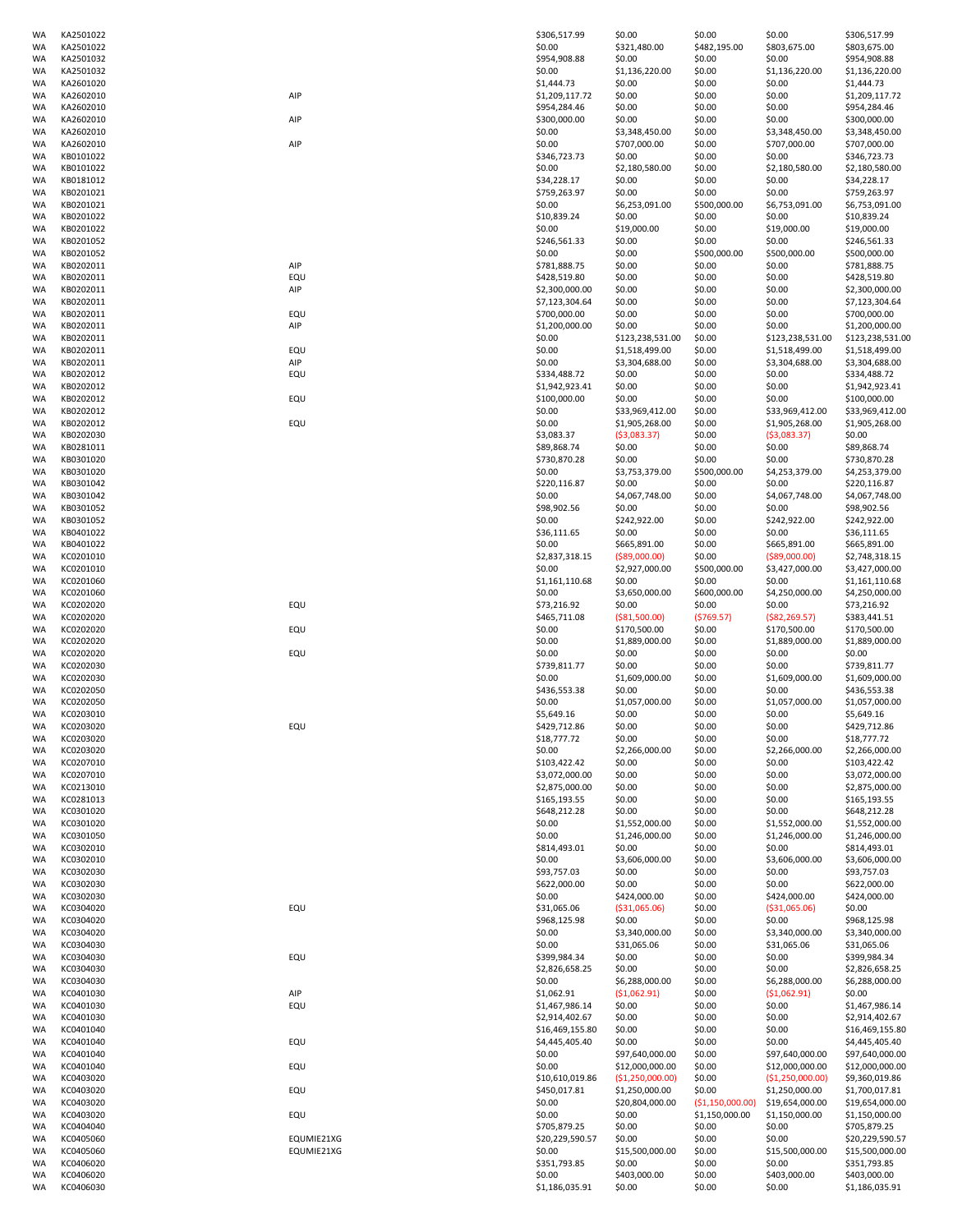| WA       | KA2501022              |            | \$306,517.99                   | \$0.00                 | \$0.00            | \$0.00                    | \$306,517.99                   |
|----------|------------------------|------------|--------------------------------|------------------------|-------------------|---------------------------|--------------------------------|
| WA       | KA2501022              |            | \$0.00                         | \$321,480.00           | \$482,195.00      | \$803,675.00              | \$803,675.00                   |
| WA       | KA2501032              |            | \$954,908.88                   | \$0.00                 | \$0.00            | \$0.00                    | \$954,908.88                   |
| WA       | KA2501032              |            | \$0.00                         | \$1,136,220.00         | \$0.00            | \$1,136,220.00            | \$1,136,220.00                 |
| WA       | KA2601020              |            | \$1,444.73                     | \$0.00                 | \$0.00            | \$0.00                    | \$1,444.73                     |
| WA<br>WA | KA2602010<br>KA2602010 | AIP        | \$1,209,117.72<br>\$954,284.46 | \$0.00<br>\$0.00       | \$0.00<br>\$0.00  | \$0.00<br>\$0.00          | \$1,209,117.72                 |
| WA       | KA2602010              | AIP        | \$300,000.00                   | \$0.00                 | \$0.00            | \$0.00                    | \$954,284.46<br>\$300,000.00   |
| WA       | KA2602010              |            | \$0.00                         | \$3,348,450.00         | \$0.00            | \$3,348,450.00            | \$3,348,450.00                 |
| WA       | KA2602010              | AIP        | \$0.00                         | \$707,000.00           | \$0.00            | \$707,000.00              | \$707,000.00                   |
| WA       | KB0101022              |            | \$346,723.73                   | \$0.00                 | \$0.00            | \$0.00                    | \$346,723.73                   |
| WA       | KB0101022              |            | \$0.00                         | \$2,180,580.00         | \$0.00            | \$2,180,580.00            | \$2,180,580.00                 |
| WA       | KB0181012              |            | \$34,228.17                    | \$0.00                 | \$0.00            | \$0.00                    | \$34,228.17                    |
| WA       | KB0201021              |            | \$759,263.97                   | \$0.00                 | \$0.00            | \$0.00                    | \$759,263.97                   |
| WA       | KB0201021              |            | \$0.00                         | \$6,253,091.00         | \$500,000.00      | \$6,753,091.00            | \$6,753,091.00                 |
| WA       | KB0201022              |            | \$10,839.24                    | \$0.00                 | \$0.00            | \$0.00                    | \$10,839.24                    |
| WA       | KB0201022              |            | \$0.00                         | \$19,000.00            | \$0.00            | \$19,000.00               | \$19,000.00                    |
| WA       | KB0201052              |            | \$246,561.33                   | \$0.00                 | \$0.00            | \$0.00                    | \$246,561.33                   |
| WA       | KB0201052              |            | \$0.00                         | \$0.00                 | \$500,000.00      | \$500,000.00              | \$500,000.00                   |
| WA       | KB0202011              | AIP        | \$781,888.75                   | \$0.00                 | \$0.00            | \$0.00                    | \$781,888.75                   |
| WA       | KB0202011              | EQU        | \$428,519.80                   | \$0.00                 | \$0.00            | \$0.00                    | \$428,519.80                   |
| WA       | KB0202011              | AIP        | \$2,300,000.00                 | \$0.00                 | \$0.00            | \$0.00                    | \$2,300,000.00                 |
| WA       | KB0202011              |            | \$7,123,304.64                 | \$0.00                 | \$0.00            | \$0.00                    | \$7,123,304.64                 |
| WA       | KB0202011              | EQU        | \$700,000.00                   | \$0.00                 | \$0.00            | \$0.00                    | \$700,000.00                   |
| WA       | KB0202011              | AIP        | \$1,200,000.00                 | \$0.00                 | \$0.00            | \$0.00                    | \$1,200,000.00                 |
| WA       | KB0202011              |            | \$0.00                         | \$123,238,531.00       | \$0.00            | \$123,238,531.00          | \$123,238,531.00               |
| WA       | KB0202011              | EQU        | \$0.00                         | \$1,518,499.00         | \$0.00            | \$1,518,499.00            | \$1,518,499.00                 |
| WA       | KB0202011              | AIP        | \$0.00                         | \$3,304,688.00         | \$0.00            | \$3,304,688.00            | \$3,304,688.00                 |
| WA       | KB0202012              | EQU        | \$334,488.72                   | \$0.00                 | \$0.00            | \$0.00                    | \$334,488.72                   |
|          | KB0202012              |            | \$1,942,923.41                 | \$0.00                 | \$0.00            | \$0.00                    | \$1,942,923.41                 |
| WA       |                        |            |                                |                        |                   |                           |                                |
| WA       | KB0202012              | EQU        | \$100,000.00                   | \$0.00                 | \$0.00            | \$0.00<br>\$33,969,412.00 | \$100,000.00                   |
| WA       | KB0202012<br>KB0202012 |            | \$0.00                         | \$33,969,412.00        | \$0.00            | \$1,905,268.00            | \$33,969,412.00                |
| WA       | KB0202030              | EQU        | \$0.00<br>\$3,083.37           | \$1,905,268.00         | \$0.00<br>\$0.00  |                           | \$1,905,268.00<br>\$0.00       |
| WA       |                        |            |                                | ( \$3,083.37)          |                   | (53,083.37)               |                                |
| WA       | KB0281011              |            | \$89,868.74                    | \$0.00                 | \$0.00            | \$0.00                    | \$89,868.74                    |
| WA       | KB0301020              |            | \$730,870.28                   | \$0.00                 | \$0.00            | \$0.00                    | \$730,870.28                   |
| WA       | KB0301020              |            | \$0.00                         | \$3,753,379.00         | \$500,000.00      | \$4,253,379.00            | \$4,253,379.00                 |
| WA       | KB0301042              |            | \$220,116.87                   | \$0.00                 | \$0.00            | \$0.00                    | \$220,116.87                   |
| WA       | KB0301042              |            | \$0.00                         | \$4,067,748.00         | \$0.00            | \$4,067,748.00            | \$4,067,748.00                 |
| WA       | KB0301052              |            | \$98,902.56                    | \$0.00                 | \$0.00            | \$0.00                    | \$98,902.56                    |
| WA       | KB0301052              |            | \$0.00                         | \$242,922.00           | \$0.00            | \$242,922.00              | \$242,922.00                   |
| WA       | KB0401022              |            | \$36,111.65                    | \$0.00                 | \$0.00            | \$0.00                    | \$36,111.65                    |
| WA       | KB0401022              |            | \$0.00                         | \$665,891.00           | \$0.00            | \$665,891.00              | \$665,891.00                   |
| WA       | KC0201010              |            | \$2,837,318.15                 | ( \$89,000.00)         | \$0.00            | ( \$89,000.00)            | \$2,748,318.15                 |
| WA       | KC0201010              |            | \$0.00                         | \$2,927,000.00         | \$500,000.00      | \$3,427,000.00            | \$3,427,000.00                 |
| WA       | KC0201060              |            | \$1,161,110.68                 | \$0.00                 | \$0.00            | \$0.00                    | \$1,161,110.68                 |
| WA       | KC0201060              |            | \$0.00                         | \$3,650,000.00         | \$600,000.00      | \$4,250,000.00            | \$4,250,000.00                 |
| WA       | KC0202020              | EQU        | \$73,216.92                    | \$0.00                 | \$0.00            | \$0.00                    | \$73,216.92                    |
| WA       | KC0202020              |            | \$465,711.08                   | ( \$81,500.00)         | (5769.57)         | ( \$82, 269.57)           | \$383,441.51                   |
| WA       | KC0202020              | EQU        | \$0.00                         | \$170,500.00           | \$0.00            | \$170,500.00              | \$170,500.00                   |
| WA       | KC0202020              |            | \$0.00                         | \$1,889,000.00         | \$0.00            | \$1,889,000.00            | \$1,889,000.00                 |
| WA       | KC0202020              | EQU        | \$0.00                         | \$0.00                 | \$0.00            | \$0.00                    | \$0.00                         |
| WA       | KC0202030              |            | \$739,811.77                   | \$0.00                 | \$0.00            | \$0.00                    | \$739,811.77                   |
| WA       | KC0202030              |            | \$0.00                         | \$1,609,000.00         | \$0.00            | \$1,609,000.00            | \$1,609,000.00                 |
| WA       | KC0202050              |            | \$436,553.38                   | \$0.00                 | \$0.00            | \$0.00                    | \$436,553.38                   |
| WA       | KC0202050              |            | \$0.00                         | \$1,057,000.00         | \$0.00            | \$1,057,000.00            | \$1,057,000.00                 |
| WA       | KC0203010              |            | \$5,649.16                     | \$0.00                 | \$0.00            | \$0.00                    | \$5,649.16                     |
| WA       | KC0203020              | EQU        | \$429,712.86                   | \$0.00                 | \$0.00            | \$0.00                    | \$429,712.86                   |
| WA       | KC0203020              |            | \$18,777.72                    | \$0.00                 | \$0.00            | \$0.00                    | \$18,777.72                    |
| WA       | KC0203020              |            | \$0.00                         | \$2,266,000.00         | \$0.00            | \$2,266,000.00            | \$2,266,000.00                 |
| WA       | KC0207010              |            | \$103,422.42                   | \$0.00                 | \$0.00            | \$0.00                    | \$103,422.42                   |
| WA       | KC0207010              |            | \$3,072,000.00                 | \$0.00                 | \$0.00            | \$0.00                    | \$3,072,000.00                 |
| WA       | KC0213010              |            | \$2,875,000.00                 | \$0.00                 | \$0.00            | \$0.00                    | \$2,875,000.00                 |
| WA       | KC0281013              |            | \$165,193.55                   | \$0.00                 | \$0.00            | \$0.00                    | \$165,193.55                   |
| WA       | KC0301020              |            | \$648,212.28                   | \$0.00                 | \$0.00            | \$0.00                    | \$648,212.28                   |
| WA       | KC0301020              |            | \$0.00                         | \$1,552,000.00         | \$0.00            | \$1,552,000.00            | \$1,552,000.00                 |
| WA       | KC0301050              |            | \$0.00                         | \$1,246,000.00         | \$0.00            | \$1,246,000.00            | \$1,246,000.00                 |
| WA       | KC0302010              |            | \$814,493.01                   | \$0.00                 | \$0.00            | \$0.00                    | \$814,493.01                   |
| WA       | KC0302010              |            | \$0.00                         | \$3,606,000.00         | \$0.00            | \$3,606,000.00            | \$3,606,000.00                 |
| WA       | KC0302030              |            | \$93,757.03                    | \$0.00                 | \$0.00            | \$0.00                    | \$93,757.03                    |
| WA       | KC0302030              |            | \$622,000.00                   | \$0.00                 | \$0.00            | \$0.00                    | \$622,000.00                   |
| WA       | KC0302030              |            | \$0.00                         | \$424,000.00           | \$0.00            | \$424,000.00              | \$424,000.00                   |
| WA       | KC0304020              | EQU        | \$31,065.06                    | ( \$31,065.06)         | \$0.00            | ( \$31,065.06)            | \$0.00                         |
| WA       | KC0304020              |            | \$968,125.98                   | \$0.00                 | \$0.00            | \$0.00                    | \$968,125.98                   |
| WA       | KC0304020              |            | \$0.00                         | \$3,340,000.00         | \$0.00            | \$3,340,000.00            | \$3,340,000.00                 |
| WA       | KC0304030              |            | \$0.00                         | \$31,065.06            | \$0.00            | \$31,065.06               | \$31,065.06                    |
| WA       |                        | EQU        | \$399,984.34                   | \$0.00                 | \$0.00            | \$0.00                    | \$399,984.34                   |
| WA       | KC0304030              |            |                                |                        |                   |                           |                                |
| WA       | KC0304030              |            | \$2,826,658.25                 | \$0.00                 | \$0.00            | \$0.00                    | \$2,826,658.25                 |
|          | KC0304030              |            | \$0.00                         | \$6,288,000.00         | \$0.00            | \$6,288,000.00            | \$6,288,000.00                 |
| WA       | KC0401030              | AIP        | \$1,062.91                     | (51,062.91)            | \$0.00            | (51,062.91)               | \$0.00                         |
| WA       | KC0401030              | EQU        | \$1,467,986.14                 | \$0.00                 | \$0.00            | \$0.00                    | \$1,467,986.14                 |
| WA       | KC0401030              |            | \$2,914,402.67                 | \$0.00                 | \$0.00            | \$0.00                    | \$2,914,402.67                 |
| WA       | KC0401040              |            | \$16,469,155.80                | \$0.00                 | \$0.00            | \$0.00                    | \$16,469,155.80                |
| WA       | KC0401040              | EQU        | \$4,445,405.40                 | \$0.00                 | \$0.00            | \$0.00                    | \$4,445,405.40                 |
| WA       | KC0401040              |            | \$0.00                         | \$97,640,000.00        | \$0.00            | \$97,640,000.00           | \$97,640,000.00                |
| WA       | KC0401040              | EQU        | \$0.00                         | \$12,000,000.00        | \$0.00            | \$12,000,000.00           | \$12,000,000.00                |
| WA       | KC0403020              |            | \$10,610,019.86                | (\$1,250,000.00)       | \$0.00            | (\$1,250,000.00)          | \$9,360,019.86                 |
| WA       | KC0403020              | EQU        | \$450,017.81                   | \$1,250,000.00         | \$0.00            | \$1,250,000.00            | \$1,700,017.81                 |
| WA       | KC0403020              |            | \$0.00                         | \$20,804,000.00        | ( \$1,150,000.00] | \$19,654,000.00           | \$19,654,000.00                |
| WA       | KC0403020              | EQU        | \$0.00                         | \$0.00                 | \$1,150,000.00    | \$1,150,000.00            | \$1,150,000.00                 |
| WA       | KC0404040              |            | \$705,879.25                   | \$0.00                 | \$0.00            | \$0.00                    | \$705,879.25                   |
| WA       | KC0405060              | EQUMIE21XG | \$20,229,590.57                | \$0.00                 | \$0.00            | \$0.00                    | \$20,229,590.57                |
| WA       | KC0405060              | EQUMIE21XG | \$0.00                         | \$15,500,000.00        | \$0.00            | \$15,500,000.00           | \$15,500,000.00                |
| WA       | KC0406020              |            | \$351,793.85                   | \$0.00                 | \$0.00            | \$0.00                    | \$351,793.85                   |
| WA<br>WA | KC0406020<br>KC0406030 |            | \$0.00<br>\$1,186,035.91       | \$403,000.00<br>\$0.00 | \$0.00<br>\$0.00  | \$403,000.00<br>\$0.00    | \$403,000.00<br>\$1,186,035.91 |